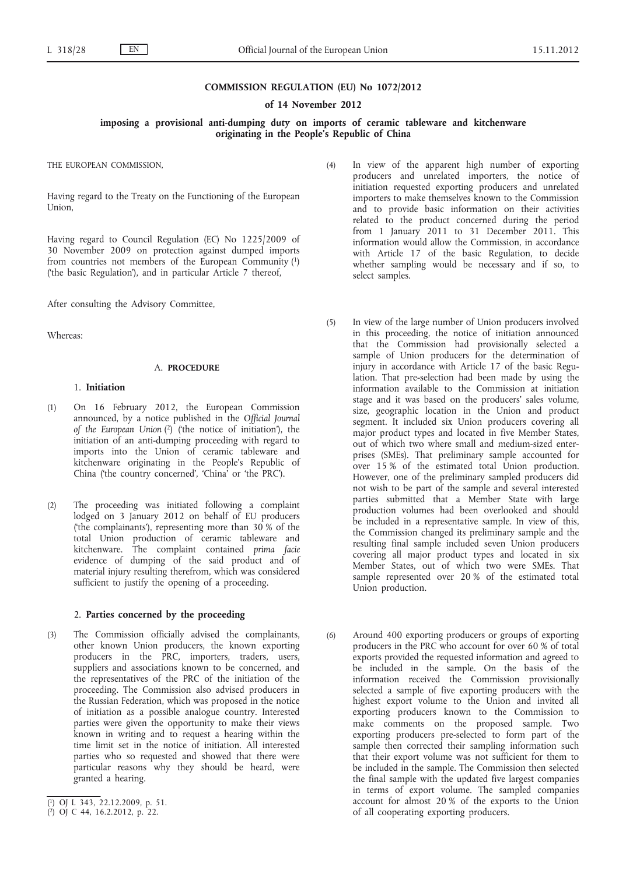#### **COMMISSION REGULATION (EU) No 1072/2012**

**of 14 November 2012**

**imposing a provisional anti-dumping duty on imports of ceramic tableware and kitchenware originating in the People's Republic of China**

THE EUROPEAN COMMISSION,

Having regard to the Treaty on the Functioning of the European Union,

Having regard to Council Regulation (EC) No 1225/2009 of 30 November 2009 on protection against dumped imports from countries not members of the European Community (1) ('the basic Regulation'), and in particular Article 7 thereof,

After consulting the Advisory Committee,

Whereas:

# A. **PROCEDURE**

# 1. **Initiation**

- (1) On 16 February 2012, the European Commission announced, by a notice published in the *Official Journal of the European Union* (2) ('the notice of initiation'), the initiation of an anti-dumping proceeding with regard to imports into the Union of ceramic tableware and kitchenware originating in the People's Republic of China ('the country concerned', 'China' or 'the PRC').
- (2) The proceeding was initiated following a complaint lodged on 3 January 2012 on behalf of EU producers ('the complainants'), representing more than 30 % of the total Union production of ceramic tableware and kitchenware. The complaint contained *prima facie* evidence of dumping of the said product and of material injury resulting therefrom, which was considered sufficient to justify the opening of a proceeding.

### 2. **Parties concerned by the proceeding**

(3) The Commission officially advised the complainants, other known Union producers, the known exporting producers in the PRC, importers, traders, users, suppliers and associations known to be concerned, and the representatives of the PRC of the initiation of the proceeding. The Commission also advised producers in the Russian Federation, which was proposed in the notice of initiation as a possible analogue country. Interested parties were given the opportunity to make their views known in writing and to request a hearing within the time limit set in the notice of initiation. All interested parties who so requested and showed that there were particular reasons why they should be heard, were granted a hearing.

- (4) In view of the apparent high number of exporting producers and unrelated importers, the notice of initiation requested exporting producers and unrelated importers to make themselves known to the Commission and to provide basic information on their activities related to the product concerned during the period from 1 January 2011 to 31 December 2011. This information would allow the Commission, in accordance with Article 17 of the basic Regulation, to decide whether sampling would be necessary and if so, to select samples.
- (5) In view of the large number of Union producers involved in this proceeding, the notice of initiation announced that the Commission had provisionally selected a sample of Union producers for the determination of injury in accordance with Article 17 of the basic Regulation. That pre-selection had been made by using the information available to the Commission at initiation stage and it was based on the producers' sales volume, size, geographic location in the Union and product segment. It included six Union producers covering all major product types and located in five Member States, out of which two where small and medium-sized enterprises (SMEs). That preliminary sample accounted for over 15 % of the estimated total Union production. However, one of the preliminary sampled producers did not wish to be part of the sample and several interested parties submitted that a Member State with large production volumes had been overlooked and should be included in a representative sample. In view of this, the Commission changed its preliminary sample and the resulting final sample included seven Union producers covering all major product types and located in six Member States, out of which two were SMEs. That sample represented over 20 % of the estimated total Union production.
- (6) Around 400 exporting producers or groups of exporting producers in the PRC who account for over 60 % of total exports provided the requested information and agreed to be included in the sample. On the basis of the information received the Commission provisionally selected a sample of five exporting producers with the highest export volume to the Union and invited all exporting producers known to the Commission to make comments on the proposed sample. Two exporting producers pre-selected to form part of the sample then corrected their sampling information such that their export volume was not sufficient for them to be included in the sample. The Commission then selected the final sample with the updated five largest companies in terms of export volume. The sampled companies account for almost 20 % of the exports to the Union of all cooperating exporting producers.

<sup>(</sup> 1) OJ L 343, 22.12.2009, p. 51.

<sup>(</sup> 2) OJ C 44, 16.2.2012, p. 22.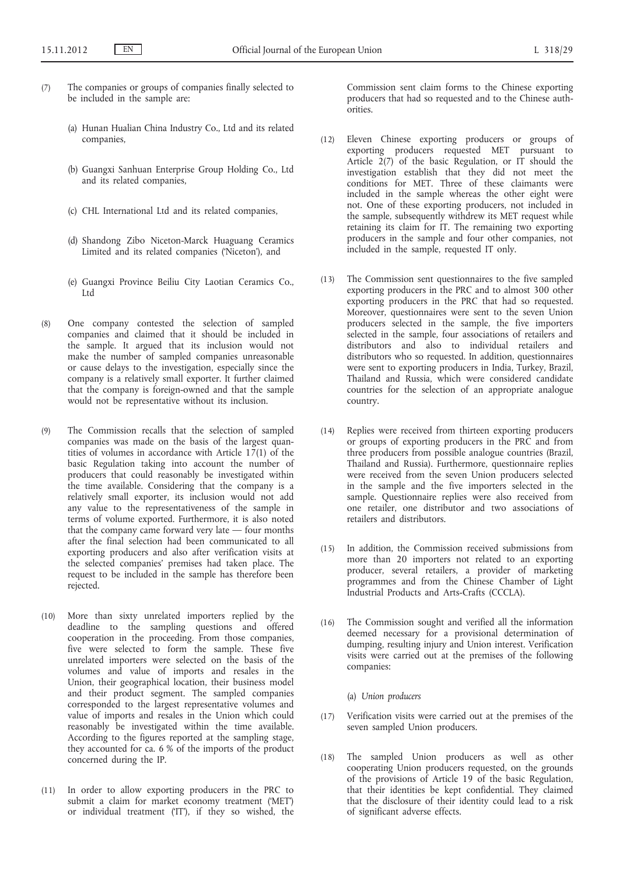- (7) The companies or groups of companies finally selected to be included in the sample are:
	- (a) Hunan Hualian China Industry Co., Ltd and its related companies,
	- (b) Guangxi Sanhuan Enterprise Group Holding Co., Ltd and its related companies,
	- (c) CHL International Ltd and its related companies,
	- (d) Shandong Zibo Niceton-Marck Huaguang Ceramics Limited and its related companies ('Niceton'), and
	- (e) Guangxi Province Beiliu City Laotian Ceramics Co., Ltd
- (8) One company contested the selection of sampled companies and claimed that it should be included in the sample. It argued that its inclusion would not make the number of sampled companies unreasonable or cause delays to the investigation, especially since the company is a relatively small exporter. It further claimed that the company is foreign-owned and that the sample would not be representative without its inclusion.
- (9) The Commission recalls that the selection of sampled companies was made on the basis of the largest quantities of volumes in accordance with Article  $17(1)$  of the basic Regulation taking into account the number of producers that could reasonably be investigated within the time available. Considering that the company is a relatively small exporter, its inclusion would not add any value to the representativeness of the sample in terms of volume exported. Furthermore, it is also noted that the company came forward very late — four months after the final selection had been communicated to all exporting producers and also after verification visits at the selected companies' premises had taken place. The request to be included in the sample has therefore been rejected.
- (10) More than sixty unrelated importers replied by the deadline to the sampling questions and offered cooperation in the proceeding. From those companies, five were selected to form the sample. These five unrelated importers were selected on the basis of the volumes and value of imports and resales in the Union, their geographical location, their business model and their product segment. The sampled companies corresponded to the largest representative volumes and value of imports and resales in the Union which could reasonably be investigated within the time available. According to the figures reported at the sampling stage, they accounted for ca. 6 % of the imports of the product concerned during the IP.
- (11) In order to allow exporting producers in the PRC to submit a claim for market economy treatment ('MET') or individual treatment ('IT'), if they so wished, the

Commission sent claim forms to the Chinese exporting producers that had so requested and to the Chinese authorities.

- (12) Eleven Chinese exporting producers or groups of exporting producers requested MET pursuant to Article 2(7) of the basic Regulation, or IT should the investigation establish that they did not meet the conditions for MET. Three of these claimants were included in the sample whereas the other eight were not. One of these exporting producers, not included in the sample, subsequently withdrew its MET request while retaining its claim for IT. The remaining two exporting producers in the sample and four other companies, not included in the sample, requested IT only.
- (13) The Commission sent questionnaires to the five sampled exporting producers in the PRC and to almost 300 other exporting producers in the PRC that had so requested. Moreover, questionnaires were sent to the seven Union producers selected in the sample, the five importers selected in the sample, four associations of retailers and distributors and also to individual retailers and distributors who so requested. In addition, questionnaires were sent to exporting producers in India, Turkey, Brazil, Thailand and Russia, which were considered candidate countries for the selection of an appropriate analogue country.
- (14) Replies were received from thirteen exporting producers or groups of exporting producers in the PRC and from three producers from possible analogue countries (Brazil, Thailand and Russia). Furthermore, questionnaire replies were received from the seven Union producers selected in the sample and the five importers selected in the sample. Questionnaire replies were also received from one retailer, one distributor and two associations of retailers and distributors.
- (15) In addition, the Commission received submissions from more than 20 importers not related to an exporting producer, several retailers, a provider of marketing programmes and from the Chinese Chamber of Light Industrial Products and Arts-Crafts (CCCLA).
- (16) The Commission sought and verified all the information deemed necessary for a provisional determination of dumping, resulting injury and Union interest. Verification visits were carried out at the premises of the following companies:

(a) *Union producers*

- (17) Verification visits were carried out at the premises of the seven sampled Union producers.
- (18) The sampled Union producers as well as other cooperating Union producers requested, on the grounds of the provisions of Article 19 of the basic Regulation, that their identities be kept confidential. They claimed that the disclosure of their identity could lead to a risk of significant adverse effects.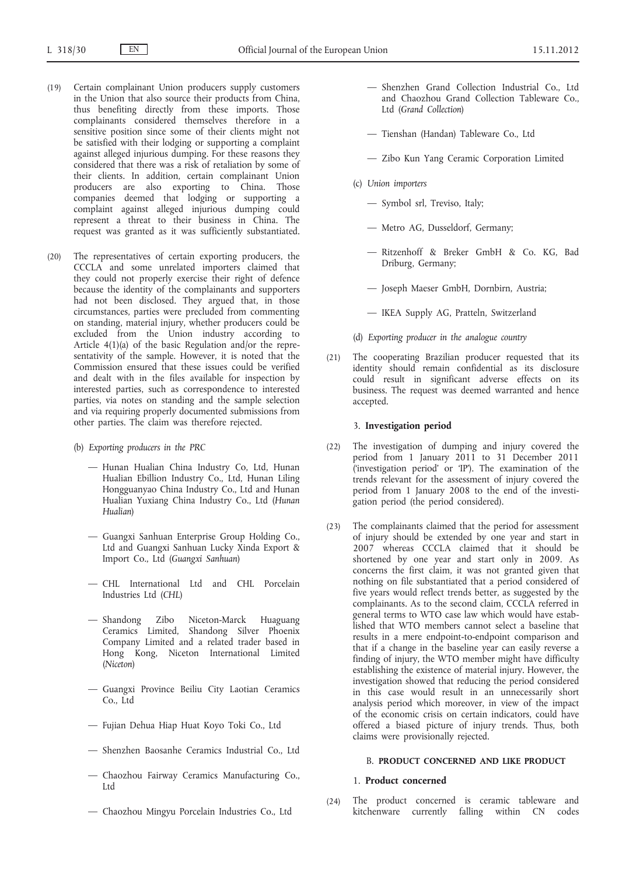- (19) Certain complainant Union producers supply customers in the Union that also source their products from China, thus benefiting directly from these imports. Those complainants considered themselves therefore in a sensitive position since some of their clients might not be satisfied with their lodging or supporting a complaint against alleged injurious dumping. For these reasons they considered that there was a risk of retaliation by some of their clients. In addition, certain complainant Union producers are also exporting to China. Those companies deemed that lodging or supporting a complaint against alleged injurious dumping could represent a threat to their business in China. The request was granted as it was sufficiently substantiated.
- (20) The representatives of certain exporting producers, the CCCLA and some unrelated importers claimed that they could not properly exercise their right of defence because the identity of the complainants and supporters had not been disclosed. They argued that, in those circumstances, parties were precluded from commenting on standing, material injury, whether producers could be excluded from the Union industry according to Article 4(1)(a) of the basic Regulation and/or the representativity of the sample. However, it is noted that the Commission ensured that these issues could be verified and dealt with in the files available for inspection by interested parties, such as correspondence to interested parties, via notes on standing and the sample selection and via requiring properly documented submissions from other parties. The claim was therefore rejected.
	- (b) *Exporting producers in the PRC*
		- Hunan Hualian China Industry Co, Ltd, Hunan Hualian Ebillion Industry Co., Ltd, Hunan Liling Hongguanyao China Industry Co., Ltd and Hunan Hualian Yuxiang China Industry Co., Ltd (*Hunan Hualian*)
		- Guangxi Sanhuan Enterprise Group Holding Co., Ltd and Guangxi Sanhuan Lucky Xinda Export & Import Co., Ltd (*Guangxi Sanhuan*)
		- CHL International Ltd and CHL Porcelain Industries Ltd (*CHL*)
		- Shandong Zibo Niceton-Marck Huaguang Ceramics Limited, Shandong Silver Phoenix Company Limited and a related trader based in Hong Kong, Niceton International Limited (*Niceton*)
		- Guangxi Province Beiliu City Laotian Ceramics Co., Ltd
		- Fujian Dehua Hiap Huat Koyo Toki Co., Ltd
		- Shenzhen Baosanhe Ceramics Industrial Co., Ltd
		- Chaozhou Fairway Ceramics Manufacturing Co., Ltd
		- Chaozhou Mingyu Porcelain Industries Co., Ltd
- Shenzhen Grand Collection Industrial Co., Ltd and Chaozhou Grand Collection Tableware Co., Ltd (*Grand Collection*)
- Tienshan (Handan) Tableware Co., Ltd
- Zibo Kun Yang Ceramic Corporation Limited
- (c) *Union importers*
	- Symbol srl, Treviso, Italy;
	- Metro AG, Dusseldorf, Germany;
	- Ritzenhoff & Breker GmbH & Co. KG, Bad Driburg, Germany;
	- Joseph Maeser GmbH, Dornbirn, Austria;
	- IKEA Supply AG, Pratteln, Switzerland
- (d) *Exporting producer in the analogue country*
- (21) The cooperating Brazilian producer requested that its identity should remain confidential as its disclosure could result in significant adverse effects on its business. The request was deemed warranted and hence accepted.

# 3. **Investigation period**

- (22) The investigation of dumping and injury covered the period from 1 January 2011 to 31 December 2011 ('investigation period' or 'IP'). The examination of the trends relevant for the assessment of injury covered the period from 1 January 2008 to the end of the investigation period (the period considered).
- (23) The complainants claimed that the period for assessment of injury should be extended by one year and start in 2007 whereas CCCLA claimed that it should be shortened by one year and start only in 2009. As concerns the first claim, it was not granted given that nothing on file substantiated that a period considered of five years would reflect trends better, as suggested by the complainants. As to the second claim, CCCLA referred in general terms to WTO case law which would have established that WTO members cannot select a baseline that results in a mere endpoint-to-endpoint comparison and that if a change in the baseline year can easily reverse a finding of injury, the WTO member might have difficulty establishing the existence of material injury. However, the investigation showed that reducing the period considered in this case would result in an unnecessarily short analysis period which moreover, in view of the impact of the economic crisis on certain indicators, could have offered a biased picture of injury trends. Thus, both claims were provisionally rejected.

# B. **PRODUCT CONCERNED AND LIKE PRODUCT**

### 1. **Product concerned**

(24) The product concerned is ceramic tableware and kitchenware currently falling within CN codes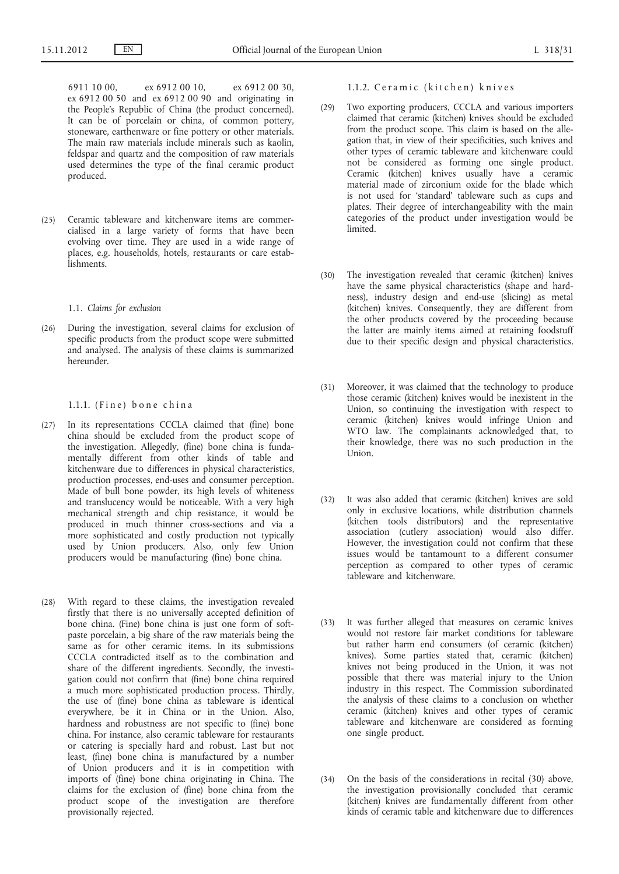6911 10 00, ex 6912 00 10, ex 6912 00 30, ex 6912 00 50 and ex 6912 00 90 and originating in the People's Republic of China (the product concerned). It can be of porcelain or china, of common pottery, stoneware, earthenware or fine pottery or other materials. The main raw materials include minerals such as kaolin, feldspar and quartz and the composition of raw materials used determines the type of the final ceramic product produced.

(25) Ceramic tableware and kitchenware items are commercialised in a large variety of forms that have been evolving over time. They are used in a wide range of places, e.g. households, hotels, restaurants or care establishments.

#### 1.1. *Claims for exclusion*

(26) During the investigation, several claims for exclusion of specific products from the product scope were submitted and analysed. The analysis of these claims is summarized hereunder.

### 1.1.1. (Fine) bone china

- (27) In its representations CCCLA claimed that (fine) bone china should be excluded from the product scope of the investigation. Allegedly, (fine) bone china is fundamentally different from other kinds of table and kitchenware due to differences in physical characteristics, production processes, end-uses and consumer perception. Made of bull bone powder, its high levels of whiteness and translucency would be noticeable. With a very high mechanical strength and chip resistance, it would be produced in much thinner cross-sections and via a more sophisticated and costly production not typically used by Union producers. Also, only few Union producers would be manufacturing (fine) bone china.
- (28) With regard to these claims, the investigation revealed firstly that there is no universally accepted definition of bone china. (Fine) bone china is just one form of softpaste porcelain, a big share of the raw materials being the same as for other ceramic items. In its submissions CCCLA contradicted itself as to the combination and share of the different ingredients. Secondly, the investigation could not confirm that (fine) bone china required a much more sophisticated production process. Thirdly, the use of (fine) bone china as tableware is identical everywhere, be it in China or in the Union. Also, hardness and robustness are not specific to (fine) bone china. For instance, also ceramic tableware for restaurants or catering is specially hard and robust. Last but not least, (fine) bone china is manufactured by a number of Union producers and it is in competition with imports of (fine) bone china originating in China. The claims for the exclusion of (fine) bone china from the product scope of the investigation are therefore provisionally rejected.

# 1.1.2. Ceramic (kitchen) knives

- (29) Two exporting producers, CCCLA and various importers claimed that ceramic (kitchen) knives should be excluded from the product scope. This claim is based on the allegation that, in view of their specificities, such knives and other types of ceramic tableware and kitchenware could not be considered as forming one single product. Ceramic (kitchen) knives usually have a ceramic material made of zirconium oxide for the blade which is not used for 'standard' tableware such as cups and plates. Their degree of interchangeability with the main categories of the product under investigation would be limited.
- (30) The investigation revealed that ceramic (kitchen) knives have the same physical characteristics (shape and hardness), industry design and end-use (slicing) as metal (kitchen) knives. Consequently, they are different from the other products covered by the proceeding because the latter are mainly items aimed at retaining foodstuff due to their specific design and physical characteristics.
- (31) Moreover, it was claimed that the technology to produce those ceramic (kitchen) knives would be inexistent in the Union, so continuing the investigation with respect to ceramic (kitchen) knives would infringe Union and WTO law. The complainants acknowledged that, to their knowledge, there was no such production in the Union.
- (32) It was also added that ceramic (kitchen) knives are sold only in exclusive locations, while distribution channels (kitchen tools distributors) and the representative association (cutlery association) would also differ. However, the investigation could not confirm that these issues would be tantamount to a different consumer perception as compared to other types of ceramic tableware and kitchenware.
- (33) It was further alleged that measures on ceramic knives would not restore fair market conditions for tableware but rather harm end consumers (of ceramic (kitchen) knives). Some parties stated that, ceramic (kitchen) knives not being produced in the Union, it was not possible that there was material injury to the Union industry in this respect. The Commission subordinated the analysis of these claims to a conclusion on whether ceramic (kitchen) knives and other types of ceramic tableware and kitchenware are considered as forming one single product.
- (34) On the basis of the considerations in recital (30) above, the investigation provisionally concluded that ceramic (kitchen) knives are fundamentally different from other kinds of ceramic table and kitchenware due to differences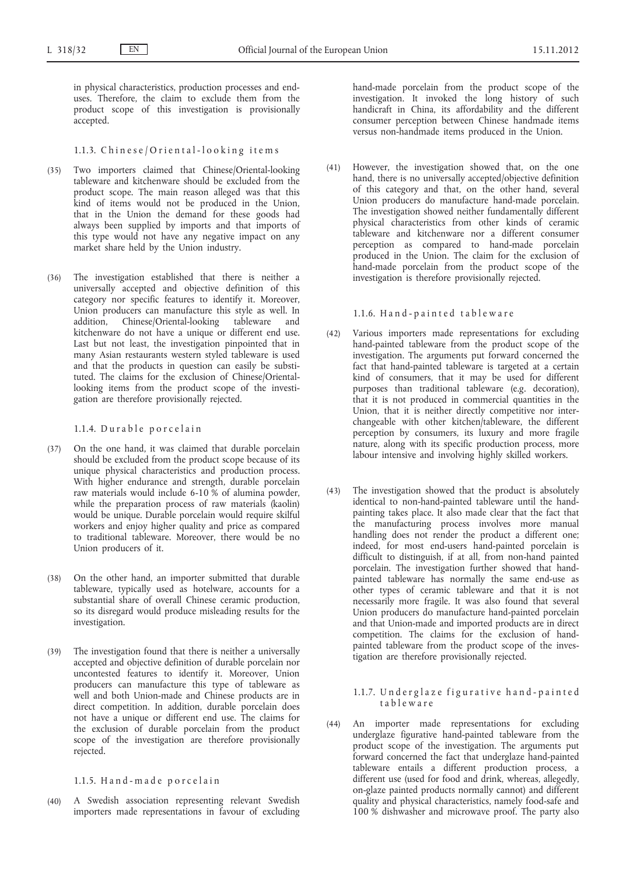in physical characteristics, production processes and enduses. Therefore, the claim to exclude them from the product scope of this investigation is provisionally accepted.

# 1.1.3. Chinese/Oriental-looking items

- (35) Two importers claimed that Chinese/Oriental-looking tableware and kitchenware should be excluded from the product scope. The main reason alleged was that this kind of items would not be produced in the Union, that in the Union the demand for these goods had always been supplied by imports and that imports of this type would not have any negative impact on any market share held by the Union industry.
- (36) The investigation established that there is neither a universally accepted and objective definition of this category nor specific features to identify it. Moreover, Union producers can manufacture this style as well. In addition, Chinese/Oriental-looking tableware and addition, Chinese/Oriental-looking tableware kitchenware do not have a unique or different end use. Last but not least, the investigation pinpointed that in many Asian restaurants western styled tableware is used and that the products in question can easily be substituted. The claims for the exclusion of Chinese/Orientallooking items from the product scope of the investigation are therefore provisionally rejected.

# 1.1.4. Durable porcelain

- (37) On the one hand, it was claimed that durable porcelain should be excluded from the product scope because of its unique physical characteristics and production process. With higher endurance and strength, durable porcelain raw materials would include 6-10 % of alumina powder, while the preparation process of raw materials (kaolin) would be unique. Durable porcelain would require skilful workers and enjoy higher quality and price as compared to traditional tableware. Moreover, there would be no Union producers of it.
- (38) On the other hand, an importer submitted that durable tableware, typically used as hotelware, accounts for a substantial share of overall Chinese ceramic production, so its disregard would produce misleading results for the investigation.
- (39) The investigation found that there is neither a universally accepted and objective definition of durable porcelain nor uncontested features to identify it. Moreover, Union producers can manufacture this type of tableware as well and both Union-made and Chinese products are in direct competition. In addition, durable porcelain does not have a unique or different end use. The claims for the exclusion of durable porcelain from the product scope of the investigation are therefore provisionally rejected.

1.1.5. Hand-made porcelain

(40) A Swedish association representing relevant Swedish importers made representations in favour of excluding hand-made porcelain from the product scope of the investigation. It invoked the long history of such handicraft in China, its affordability and the different consumer perception between Chinese handmade items versus non-handmade items produced in the Union.

(41) However, the investigation showed that, on the one hand, there is no universally accepted/objective definition of this category and that, on the other hand, several Union producers do manufacture hand-made porcelain. The investigation showed neither fundamentally different physical characteristics from other kinds of ceramic tableware and kitchenware nor a different consumer perception as compared to hand-made porcelain produced in the Union. The claim for the exclusion of hand-made porcelain from the product scope of the investigation is therefore provisionally rejected.

# 1.1.6. Hand-painted tableware

- (42) Various importers made representations for excluding hand-painted tableware from the product scope of the investigation. The arguments put forward concerned the fact that hand-painted tableware is targeted at a certain kind of consumers, that it may be used for different purposes than traditional tableware (e.g. decoration), that it is not produced in commercial quantities in the Union, that it is neither directly competitive nor interchangeable with other kitchen/tableware, the different perception by consumers, its luxury and more fragile nature, along with its specific production process, more labour intensive and involving highly skilled workers.
- (43) The investigation showed that the product is absolutely identical to non-hand-painted tableware until the handpainting takes place. It also made clear that the fact that the manufacturing process involves more manual handling does not render the product a different one; indeed, for most end-users hand-painted porcelain is difficult to distinguish, if at all, from non-hand painted porcelain. The investigation further showed that handpainted tableware has normally the same end-use as other types of ceramic tableware and that it is not necessarily more fragile. It was also found that several Union producers do manufacture hand-painted porcelain and that Union-made and imported products are in direct competition. The claims for the exclusion of handpainted tableware from the product scope of the investigation are therefore provisionally rejected.

### 1.1.7. Underglaze figurative hand-painted t a b l e w a r e

(44) An importer made representations for excluding underglaze figurative hand-painted tableware from the product scope of the investigation. The arguments put forward concerned the fact that underglaze hand-painted tableware entails a different production process, a different use (used for food and drink, whereas, allegedly, on-glaze painted products normally cannot) and different quality and physical characteristics, namely food-safe and 100 % dishwasher and microwave proof. The party also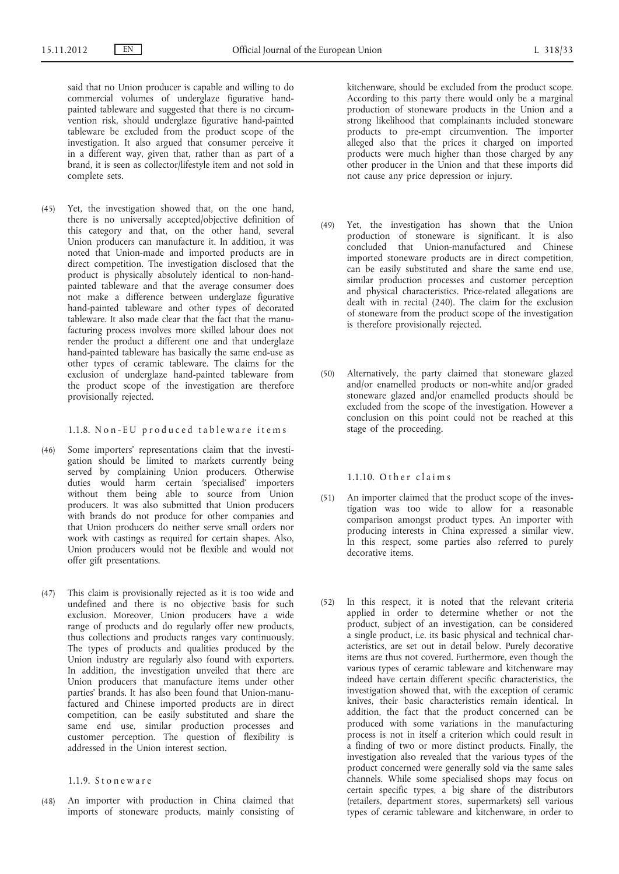said that no Union producer is capable and willing to do commercial volumes of underglaze figurative handpainted tableware and suggested that there is no circumvention risk, should underglaze figurative hand-painted tableware be excluded from the product scope of the investigation. It also argued that consumer perceive it in a different way, given that, rather than as part of a brand, it is seen as collector/lifestyle item and not sold in complete sets.

(45) Yet, the investigation showed that, on the one hand, there is no universally accepted/objective definition of this category and that, on the other hand, several Union producers can manufacture it. In addition, it was noted that Union-made and imported products are in direct competition. The investigation disclosed that the product is physically absolutely identical to non-handpainted tableware and that the average consumer does not make a difference between underglaze figurative hand-painted tableware and other types of decorated tableware. It also made clear that the fact that the manufacturing process involves more skilled labour does not render the product a different one and that underglaze hand-painted tableware has basically the same end-use as other types of ceramic tableware. The claims for the exclusion of underglaze hand-painted tableware from the product scope of the investigation are therefore provisionally rejected.

1.1.8. Non-EU produced tableware items

- (46) Some importers' representations claim that the investigation should be limited to markets currently being served by complaining Union producers. Otherwise duties would harm certain 'specialised' importers without them being able to source from Union producers. It was also submitted that Union producers with brands do not produce for other companies and that Union producers do neither serve small orders nor work with castings as required for certain shapes. Also, Union producers would not be flexible and would not offer gift presentations.
- (47) This claim is provisionally rejected as it is too wide and undefined and there is no objective basis for such exclusion. Moreover, Union producers have a wide range of products and do regularly offer new products, thus collections and products ranges vary continuously. The types of products and qualities produced by the Union industry are regularly also found with exporters. In addition, the investigation unveiled that there are Union producers that manufacture items under other parties' brands. It has also been found that Union-manufactured and Chinese imported products are in direct competition, can be easily substituted and share the same end use, similar production processes and customer perception. The question of flexibility is addressed in the Union interest section.

1.1.9. S t o n e w a r e

(48) An importer with production in China claimed that imports of stoneware products, mainly consisting of kitchenware, should be excluded from the product scope. According to this party there would only be a marginal production of stoneware products in the Union and a strong likelihood that complainants included stoneware products to pre-empt circumvention. The importer alleged also that the prices it charged on imported products were much higher than those charged by any other producer in the Union and that these imports did not cause any price depression or injury.

- (49) Yet, the investigation has shown that the Union production of stoneware is significant. It is also concluded that Union-manufactured and Chinese imported stoneware products are in direct competition, can be easily substituted and share the same end use, similar production processes and customer perception and physical characteristics. Price-related allegations are dealt with in recital (240). The claim for the exclusion of stoneware from the product scope of the investigation is therefore provisionally rejected.
- (50) Alternatively, the party claimed that stoneware glazed and/or enamelled products or non-white and/or graded stoneware glazed and/or enamelled products should be excluded from the scope of the investigation. However a conclusion on this point could not be reached at this stage of the proceeding.

# $1.1.10.$  Other claims

- (51) An importer claimed that the product scope of the investigation was too wide to allow for a reasonable comparison amongst product types. An importer with producing interests in China expressed a similar view. In this respect, some parties also referred to purely decorative items.
- (52) In this respect, it is noted that the relevant criteria applied in order to determine whether or not the product, subject of an investigation, can be considered a single product, i.e. its basic physical and technical characteristics, are set out in detail below. Purely decorative items are thus not covered. Furthermore, even though the various types of ceramic tableware and kitchenware may indeed have certain different specific characteristics, the investigation showed that, with the exception of ceramic knives, their basic characteristics remain identical. In addition, the fact that the product concerned can be produced with some variations in the manufacturing process is not in itself a criterion which could result in a finding of two or more distinct products. Finally, the investigation also revealed that the various types of the product concerned were generally sold via the same sales channels. While some specialised shops may focus on certain specific types, a big share of the distributors (retailers, department stores, supermarkets) sell various types of ceramic tableware and kitchenware, in order to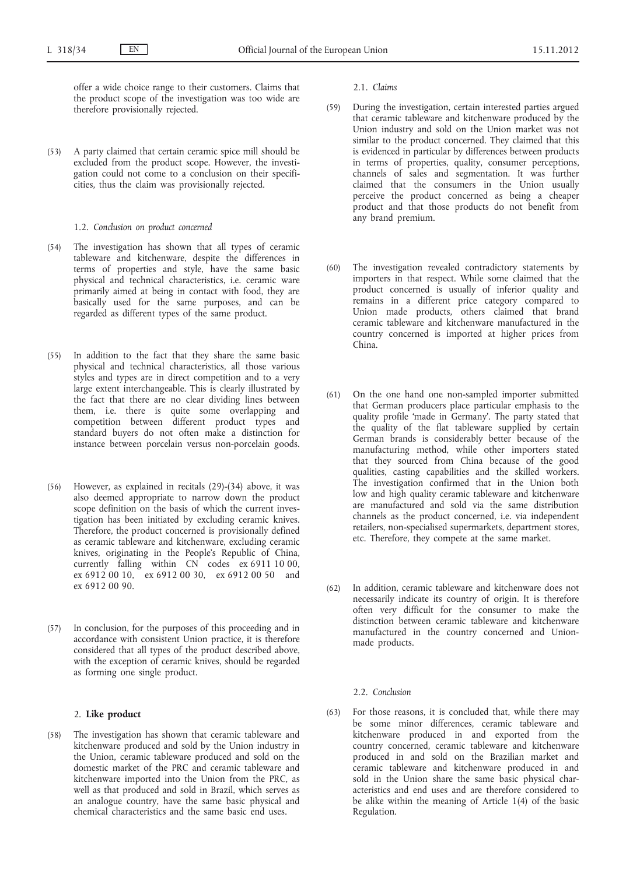offer a wide choice range to their customers. Claims that the product scope of the investigation was too wide are therefore provisionally rejected.

- (53) A party claimed that certain ceramic spice mill should be excluded from the product scope. However, the investigation could not come to a conclusion on their specificities, thus the claim was provisionally rejected.
	- 1.2. *Conclusion on product concerned*
- (54) The investigation has shown that all types of ceramic tableware and kitchenware, despite the differences in terms of properties and style, have the same basic physical and technical characteristics, i.e. ceramic ware primarily aimed at being in contact with food, they are basically used for the same purposes, and can be regarded as different types of the same product.
- (55) In addition to the fact that they share the same basic physical and technical characteristics, all those various styles and types are in direct competition and to a very large extent interchangeable. This is clearly illustrated by the fact that there are no clear dividing lines between them, i.e. there is quite some overlapping and competition between different product types and standard buyers do not often make a distinction for instance between porcelain versus non-porcelain goods.
- (56) However, as explained in recitals (29)-(34) above, it was also deemed appropriate to narrow down the product scope definition on the basis of which the current investigation has been initiated by excluding ceramic knives. Therefore, the product concerned is provisionally defined as ceramic tableware and kitchenware, excluding ceramic knives, originating in the People's Republic of China, currently falling within  $CN$  codes  $ex 6911 10 00$ , ex 6912 00 10, ex 6912 00 30, ex 6912 00 50 and ex 6912 00 90.
- (57) In conclusion, for the purposes of this proceeding and in accordance with consistent Union practice, it is therefore considered that all types of the product described above, with the exception of ceramic knives, should be regarded as forming one single product.

# 2. **Like product**

(58) The investigation has shown that ceramic tableware and kitchenware produced and sold by the Union industry in the Union, ceramic tableware produced and sold on the domestic market of the PRC and ceramic tableware and kitchenware imported into the Union from the PRC, as well as that produced and sold in Brazil, which serves as an analogue country, have the same basic physical and chemical characteristics and the same basic end uses.

2.1. *Claims*

- (59) During the investigation, certain interested parties argued that ceramic tableware and kitchenware produced by the Union industry and sold on the Union market was not similar to the product concerned. They claimed that this is evidenced in particular by differences between products in terms of properties, quality, consumer perceptions, channels of sales and segmentation. It was further claimed that the consumers in the Union usually perceive the product concerned as being a cheaper product and that those products do not benefit from any brand premium.
- (60) The investigation revealed contradictory statements by importers in that respect. While some claimed that the product concerned is usually of inferior quality and remains in a different price category compared to Union made products, others claimed that brand ceramic tableware and kitchenware manufactured in the country concerned is imported at higher prices from China.
- (61) On the one hand one non-sampled importer submitted that German producers place particular emphasis to the quality profile 'made in Germany'. The party stated that the quality of the flat tableware supplied by certain German brands is considerably better because of the manufacturing method, while other importers stated that they sourced from China because of the good qualities, casting capabilities and the skilled workers. The investigation confirmed that in the Union both low and high quality ceramic tableware and kitchenware are manufactured and sold via the same distribution channels as the product concerned, i.e. via independent retailers, non-specialised supermarkets, department stores, etc. Therefore, they compete at the same market.
- (62) In addition, ceramic tableware and kitchenware does not necessarily indicate its country of origin. It is therefore often very difficult for the consumer to make the distinction between ceramic tableware and kitchenware manufactured in the country concerned and Unionmade products.

#### 2.2. *Conclusion*

(63) For those reasons, it is concluded that, while there may be some minor differences, ceramic tableware and kitchenware produced in and exported from the country concerned, ceramic tableware and kitchenware produced in and sold on the Brazilian market and ceramic tableware and kitchenware produced in and sold in the Union share the same basic physical characteristics and end uses and are therefore considered to be alike within the meaning of Article 1(4) of the basic Regulation.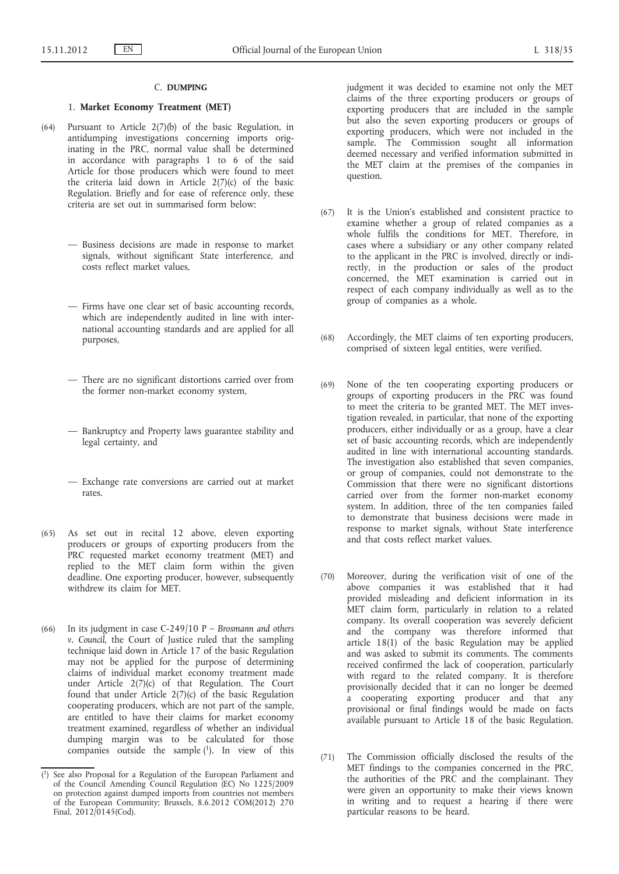#### C. **DUMPING**

## 1. **Market Economy Treatment (MET)**

- (64) Pursuant to Article 2(7)(b) of the basic Regulation, in antidumping investigations concerning imports originating in the PRC, normal value shall be determined in accordance with paragraphs 1 to 6 of the said Article for those producers which were found to meet the criteria laid down in Article  $2(7)(c)$  of the basic Regulation. Briefly and for ease of reference only, these criteria are set out in summarised form below:
	- Business decisions are made in response to market signals, without significant State interference, and costs reflect market values,
	- Firms have one clear set of basic accounting records, which are independently audited in line with international accounting standards and are applied for all purposes,
	- There are no significant distortions carried over from the former non-market economy system,
	- Bankruptcy and Property laws guarantee stability and legal certainty, and
	- Exchange rate conversions are carried out at market rates.
- (65) As set out in recital 12 above, eleven exporting producers or groups of exporting producers from the PRC requested market economy treatment (MET) and replied to the MET claim form within the given deadline. One exporting producer, however, subsequently withdrew its claim for MET.
- (66) In its judgment in case C-249/10 P – *Brosmann and others v. Council*, the Court of Justice ruled that the sampling technique laid down in Article 17 of the basic Regulation may not be applied for the purpose of determining claims of individual market economy treatment made under Article 2(7)(c) of that Regulation. The Court found that under Article  $2(7)(c)$  of the basic Regulation cooperating producers, which are not part of the sample, are entitled to have their claims for market economy treatment examined, regardless of whether an individual dumping margin was to be calculated for those companies outside the sample  $(1)$ . In view of this

judgment it was decided to examine not only the MET claims of the three exporting producers or groups of exporting producers that are included in the sample but also the seven exporting producers or groups of exporting producers, which were not included in the sample. The Commission sought all information deemed necessary and verified information submitted in the MET claim at the premises of the companies in question.

- (67) It is the Union's established and consistent practice to examine whether a group of related companies as a whole fulfils the conditions for MET. Therefore, in cases where a subsidiary or any other company related to the applicant in the PRC is involved, directly or indirectly, in the production or sales of the product concerned, the MET examination is carried out in respect of each company individually as well as to the group of companies as a whole.
- (68) Accordingly, the MET claims of ten exporting producers, comprised of sixteen legal entities, were verified.
- (69) None of the ten cooperating exporting producers or groups of exporting producers in the PRC was found to meet the criteria to be granted MET. The MET investigation revealed, in particular, that none of the exporting producers, either individually or as a group, have a clear set of basic accounting records, which are independently audited in line with international accounting standards. The investigation also established that seven companies, or group of companies, could not demonstrate to the Commission that there were no significant distortions carried over from the former non-market economy system. In addition, three of the ten companies failed to demonstrate that business decisions were made in response to market signals, without State interference and that costs reflect market values.
- (70) Moreover, during the verification visit of one of the above companies it was established that it had provided misleading and deficient information in its MET claim form, particularly in relation to a related company. Its overall cooperation was severely deficient and the company was therefore informed that article 18(1) of the basic Regulation may be applied and was asked to submit its comments. The comments received confirmed the lack of cooperation, particularly with regard to the related company. It is therefore provisionally decided that it can no longer be deemed a cooperating exporting producer and that any provisional or final findings would be made on facts available pursuant to Article 18 of the basic Regulation.
- (71) The Commission officially disclosed the results of the MET findings to the companies concerned in the PRC, the authorities of the PRC and the complainant. They were given an opportunity to make their views known in writing and to request a hearing if there were particular reasons to be heard.

<sup>(</sup> 1) See also Proposal for a Regulation of the European Parliament and of the Council Amending Council Regulation (EC) No 1225/2009 on protection against dumped imports from countries not members of the European Community; Brussels, 8.6.2012 COM(2012) 270 Final,  $2012/0145$ (Cod).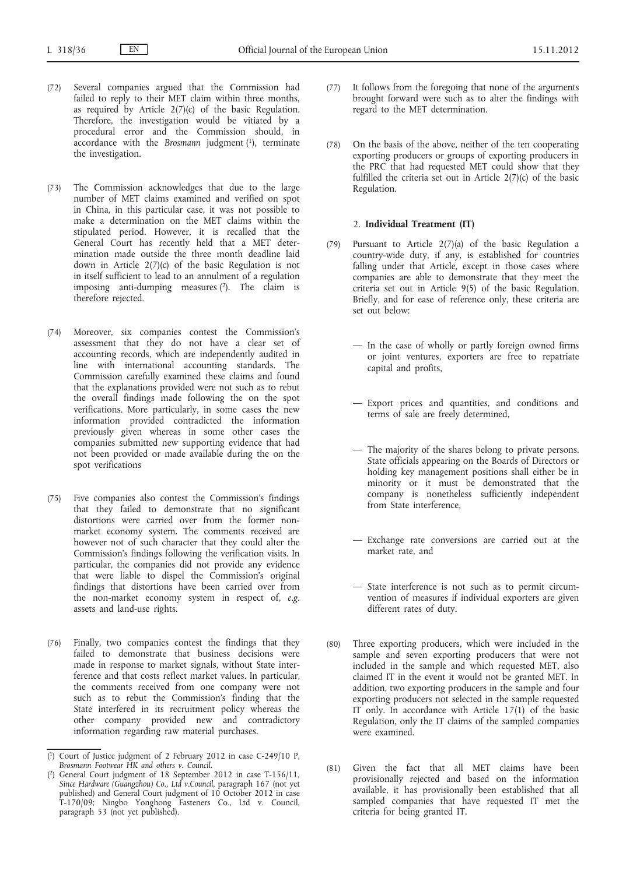- (72) Several companies argued that the Commission had failed to reply to their MET claim within three months, as required by Article  $2(7)(c)$  of the basic Regulation. Therefore, the investigation would be vitiated by a procedural error and the Commission should, in accordance with the *Brosmann* judgment (1), terminate the investigation.
- (73) The Commission acknowledges that due to the large number of MET claims examined and verified on spot in China, in this particular case, it was not possible to make a determination on the MET claims within the stipulated period. However, it is recalled that the General Court has recently held that a MET determination made outside the three month deadline laid down in Article 2(7)(c) of the basic Regulation is not in itself sufficient to lead to an annulment of a regulation imposing anti-dumping measures  $(2)$ . The claim is therefore rejected.
- (74) Moreover, six companies contest the Commission's assessment that they do not have a clear set of accounting records, which are independently audited in line with international accounting standards. The Commission carefully examined these claims and found that the explanations provided were not such as to rebut the overall findings made following the on the spot verifications. More particularly, in some cases the new information provided contradicted the information previously given whereas in some other cases the companies submitted new supporting evidence that had not been provided or made available during the on the spot verifications
- (75) Five companies also contest the Commission's findings that they failed to demonstrate that no significant distortions were carried over from the former nonmarket economy system. The comments received are however not of such character that they could alter the Commission's findings following the verification visits. In particular, the companies did not provide any evidence that were liable to dispel the Commission's original findings that distortions have been carried over from the non-market economy system in respect of, *e.g*. assets and land-use rights.
- (76) Finally, two companies contest the findings that they failed to demonstrate that business decisions were made in response to market signals, without State interference and that costs reflect market values. In particular, the comments received from one company were not such as to rebut the Commission's finding that the State interfered in its recruitment policy whereas the other company provided new and contradictory information regarding raw material purchases.
- (77) It follows from the foregoing that none of the arguments brought forward were such as to alter the findings with regard to the MET determination.
- (78) On the basis of the above, neither of the ten cooperating exporting producers or groups of exporting producers in the PRC that had requested MET could show that they fulfilled the criteria set out in Article 2(7)(c) of the basic Regulation.

# 2. **Individual Treatment (IT)**

- (79) Pursuant to Article 2(7)(a) of the basic Regulation a country-wide duty, if any, is established for countries falling under that Article, except in those cases where companies are able to demonstrate that they meet the criteria set out in Article 9(5) of the basic Regulation. Briefly, and for ease of reference only, these criteria are set out below:
	- In the case of wholly or partly foreign owned firms or joint ventures, exporters are free to repatriate capital and profits,
	- Export prices and quantities, and conditions and terms of sale are freely determined,
	- The majority of the shares belong to private persons. State officials appearing on the Boards of Directors or holding key management positions shall either be in minority or it must be demonstrated that the company is nonetheless sufficiently independent from State interference,
	- Exchange rate conversions are carried out at the market rate, and
	- State interference is not such as to permit circumvention of measures if individual exporters are given different rates of duty.
- (80) Three exporting producers, which were included in the sample and seven exporting producers that were not included in the sample and which requested MET, also claimed IT in the event it would not be granted MET. In addition, two exporting producers in the sample and four exporting producers not selected in the sample requested IT only. In accordance with Article 17(1) of the basic Regulation, only the IT claims of the sampled companies were examined.
- (81) Given the fact that all MET claims have been provisionally rejected and based on the information available, it has provisionally been established that all sampled companies that have requested IT met the criteria for being granted IT.

<sup>(</sup> 1) Court of Justice judgment of 2 February 2012 in case C-249/10 P, *Brosmann Footwear HK and others v. Council*.

<sup>(</sup> 2) General Court judgment of 18 September 2012 in case T-156/11, *Since Hardware (Guangzhou) Co., Ltd v.Council*, paragraph 167 (not yet published) and General Court judgment of 10 October 2012 in case T-170/09; Ningbo Yonghong Fasteners Co., Ltd v. Council, paragraph 53 (not yet published).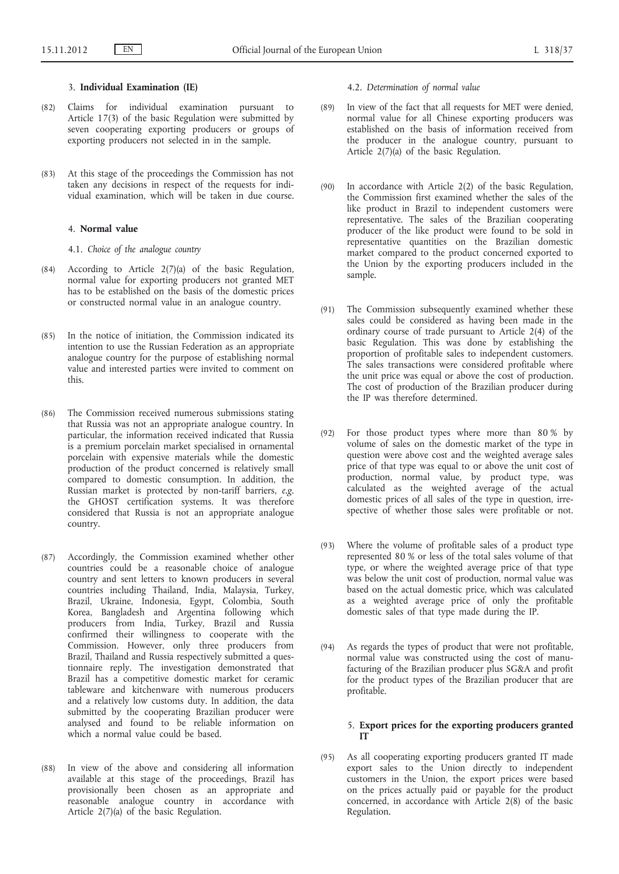# 3. **Individual Examination (IE)**

- (82) Claims for individual examination pursuant to Article 17(3) of the basic Regulation were submitted by seven cooperating exporting producers or groups of exporting producers not selected in in the sample.
- (83) At this stage of the proceedings the Commission has not taken any decisions in respect of the requests for individual examination, which will be taken in due course.

#### 4. **Normal value**

4.1. *Choice of the analogue country*

- (84) According to Article 2(7)(a) of the basic Regulation, normal value for exporting producers not granted MET has to be established on the basis of the domestic prices or constructed normal value in an analogue country.
- (85) In the notice of initiation, the Commission indicated its intention to use the Russian Federation as an appropriate analogue country for the purpose of establishing normal value and interested parties were invited to comment on this.
- (86) The Commission received numerous submissions stating that Russia was not an appropriate analogue country. In particular, the information received indicated that Russia is a premium porcelain market specialised in ornamental porcelain with expensive materials while the domestic production of the product concerned is relatively small compared to domestic consumption. In addition, the Russian market is protected by non-tariff barriers, *e.g*. the GHOST certification systems. It was therefore considered that Russia is not an appropriate analogue country.
- (87) Accordingly, the Commission examined whether other countries could be a reasonable choice of analogue country and sent letters to known producers in several countries including Thailand, India, Malaysia, Turkey, Brazil, Ukraine, Indonesia, Egypt, Colombia, South Korea, Bangladesh and Argentina following which producers from India, Turkey, Brazil and Russia confirmed their willingness to cooperate with the Commission. However, only three producers from Brazil, Thailand and Russia respectively submitted a questionnaire reply. The investigation demonstrated that Brazil has a competitive domestic market for ceramic tableware and kitchenware with numerous producers and a relatively low customs duty. In addition, the data submitted by the cooperating Brazilian producer were analysed and found to be reliable information on which a normal value could be based.
- (88) In view of the above and considering all information available at this stage of the proceedings, Brazil has provisionally been chosen as an appropriate and reasonable analogue country in accordance with Article 2(7)(a) of the basic Regulation.

4.2. *Determination of normal value*

- (89) In view of the fact that all requests for MET were denied, normal value for all Chinese exporting producers was established on the basis of information received from the producer in the analogue country, pursuant to Article 2(7)(a) of the basic Regulation.
- (90) In accordance with Article 2(2) of the basic Regulation, the Commission first examined whether the sales of the like product in Brazil to independent customers were representative. The sales of the Brazilian cooperating producer of the like product were found to be sold in representative quantities on the Brazilian domestic market compared to the product concerned exported to the Union by the exporting producers included in the sample.
- (91) The Commission subsequently examined whether these sales could be considered as having been made in the ordinary course of trade pursuant to Article 2(4) of the basic Regulation. This was done by establishing the proportion of profitable sales to independent customers. The sales transactions were considered profitable where the unit price was equal or above the cost of production. The cost of production of the Brazilian producer during the IP was therefore determined.
- (92) For those product types where more than 80 % by volume of sales on the domestic market of the type in question were above cost and the weighted average sales price of that type was equal to or above the unit cost of production, normal value, by product type, was calculated as the weighted average of the actual domestic prices of all sales of the type in question, irrespective of whether those sales were profitable or not.
- (93) Where the volume of profitable sales of a product type represented 80 % or less of the total sales volume of that type, or where the weighted average price of that type was below the unit cost of production, normal value was based on the actual domestic price, which was calculated as a weighted average price of only the profitable domestic sales of that type made during the IP.
- (94) As regards the types of product that were not profitable, normal value was constructed using the cost of manufacturing of the Brazilian producer plus SG&A and profit for the product types of the Brazilian producer that are profitable.

# 5. **Export prices for the exporting producers granted IT**

(95) As all cooperating exporting producers granted IT made export sales to the Union directly to independent customers in the Union, the export prices were based on the prices actually paid or payable for the product concerned, in accordance with Article 2(8) of the basic Regulation.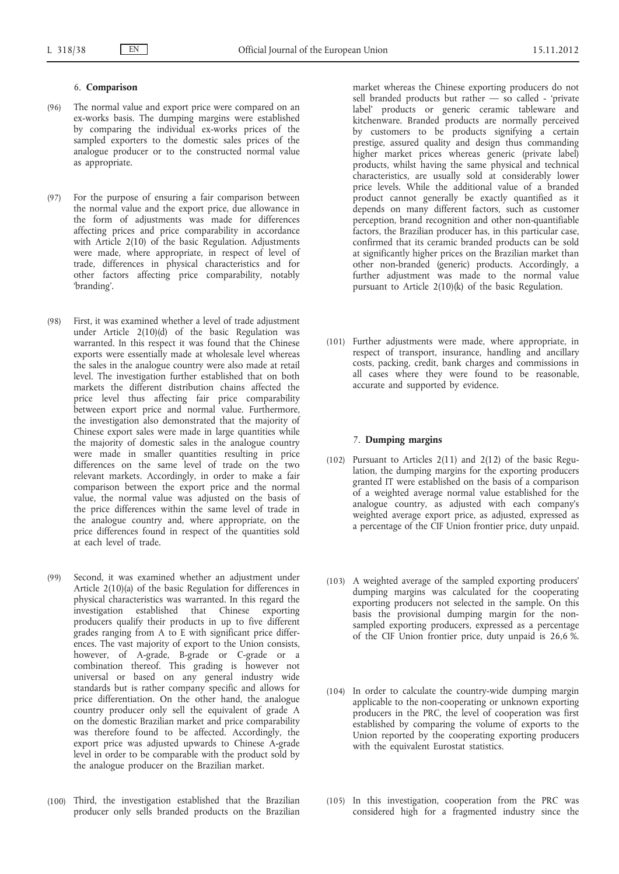# 6. **Comparison**

- (96) The normal value and export price were compared on an ex-works basis. The dumping margins were established by comparing the individual ex-works prices of the sampled exporters to the domestic sales prices of the analogue producer or to the constructed normal value as appropriate.
- (97) For the purpose of ensuring a fair comparison between the normal value and the export price, due allowance in the form of adjustments was made for differences affecting prices and price comparability in accordance with Article 2(10) of the basic Regulation. Adjustments were made, where appropriate, in respect of level of trade, differences in physical characteristics and for other factors affecting price comparability, notably 'branding'.
- (98) First, it was examined whether a level of trade adjustment under Article 2(10)(d) of the basic Regulation was warranted. In this respect it was found that the Chinese exports were essentially made at wholesale level whereas the sales in the analogue country were also made at retail level. The investigation further established that on both markets the different distribution chains affected the price level thus affecting fair price comparability between export price and normal value. Furthermore, the investigation also demonstrated that the majority of Chinese export sales were made in large quantities while the majority of domestic sales in the analogue country were made in smaller quantities resulting in price differences on the same level of trade on the two relevant markets. Accordingly, in order to make a fair comparison between the export price and the normal value, the normal value was adjusted on the basis of the price differences within the same level of trade in the analogue country and, where appropriate, on the price differences found in respect of the quantities sold at each level of trade.
- (99) Second, it was examined whether an adjustment under Article 2(10)(a) of the basic Regulation for differences in physical characteristics was warranted. In this regard the investigation established that Chinese exporting producers qualify their products in up to five different grades ranging from A to E with significant price differences. The vast majority of export to the Union consists, however, of A-grade, B-grade or C-grade or a combination thereof. This grading is however not universal or based on any general industry wide standards but is rather company specific and allows for price differentiation. On the other hand, the analogue country producer only sell the equivalent of grade A on the domestic Brazilian market and price comparability was therefore found to be affected. Accordingly, the export price was adjusted upwards to Chinese A-grade level in order to be comparable with the product sold by the analogue producer on the Brazilian market.
- (100) Third, the investigation established that the Brazilian producer only sells branded products on the Brazilian

market whereas the Chinese exporting producers do not sell branded products but rather - so called - 'private label' products or generic ceramic tableware and kitchenware. Branded products are normally perceived by customers to be products signifying a certain prestige, assured quality and design thus commanding higher market prices whereas generic (private label) products, whilst having the same physical and technical characteristics, are usually sold at considerably lower price levels. While the additional value of a branded product cannot generally be exactly quantified as it depends on many different factors, such as customer perception, brand recognition and other non-quantifiable factors, the Brazilian producer has, in this particular case, confirmed that its ceramic branded products can be sold at significantly higher prices on the Brazilian market than other non-branded (generic) products. Accordingly, a further adjustment was made to the normal value pursuant to Article 2(10)(k) of the basic Regulation.

(101) Further adjustments were made, where appropriate, in respect of transport, insurance, handling and ancillary costs, packing, credit, bank charges and commissions in all cases where they were found to be reasonable, accurate and supported by evidence.

# 7. **Dumping margins**

- (102) Pursuant to Articles 2(11) and 2(12) of the basic Regulation, the dumping margins for the exporting producers granted IT were established on the basis of a comparison of a weighted average normal value established for the analogue country, as adjusted with each company's weighted average export price, as adjusted, expressed as a percentage of the CIF Union frontier price, duty unpaid.
- (103) A weighted average of the sampled exporting producers' dumping margins was calculated for the cooperating exporting producers not selected in the sample. On this basis the provisional dumping margin for the nonsampled exporting producers, expressed as a percentage of the CIF Union frontier price, duty unpaid is 26,6 %.
- (104) In order to calculate the country-wide dumping margin applicable to the non-cooperating or unknown exporting producers in the PRC, the level of cooperation was first established by comparing the volume of exports to the Union reported by the cooperating exporting producers with the equivalent Eurostat statistics.
- (105) In this investigation, cooperation from the PRC was considered high for a fragmented industry since the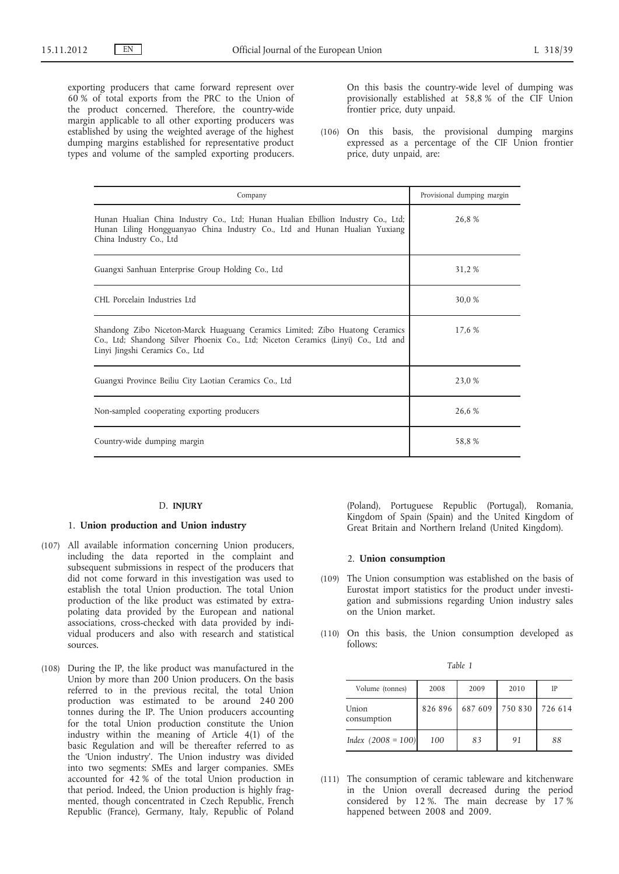exporting producers that came forward represent over 60 % of total exports from the PRC to the Union of the product concerned. Therefore, the country-wide margin applicable to all other exporting producers was established by using the weighted average of the highest dumping margins established for representative product types and volume of the sampled exporting producers.

On this basis the country-wide level of dumping was provisionally established at 58,8 % of the CIF Union frontier price, duty unpaid.

(106) On this basis, the provisional dumping margins expressed as a percentage of the CIF Union frontier price, duty unpaid, are:

| Company                                                                                                                                                                                              | Provisional dumping margin |
|------------------------------------------------------------------------------------------------------------------------------------------------------------------------------------------------------|----------------------------|
| Hunan Hualian China Industry Co., Ltd; Hunan Hualian Ebillion Industry Co., Ltd;<br>Hunan Liling Hongguanyao China Industry Co., Ltd and Hunan Hualian Yuxiang<br>China Industry Co., Ltd            | 26.8%                      |
| Guangxi Sanhuan Enterprise Group Holding Co., Ltd                                                                                                                                                    | 31,2 %                     |
| CHI. Porcelain Industries Ltd                                                                                                                                                                        | 30.0 %                     |
| Shandong Zibo Niceton-Marck Huaguang Ceramics Limited; Zibo Huatong Ceramics<br>Co., Ltd; Shandong Silver Phoenix Co., Ltd; Niceton Ceramics (Linyi) Co., Ltd and<br>Linyi Jingshi Ceramics Co., Ltd | 17.6 %                     |
| Guangxi Province Beiliu City Laotian Ceramics Co., Ltd                                                                                                                                               | 23,0 %                     |
| Non-sampled cooperating exporting producers                                                                                                                                                          | 26,6 %                     |
| Country-wide dumping margin                                                                                                                                                                          | 58.8%                      |

#### D. **INJURY**

#### 1. **Union production and Union industry**

- (107) All available information concerning Union producers, including the data reported in the complaint and subsequent submissions in respect of the producers that did not come forward in this investigation was used to establish the total Union production. The total Union production of the like product was estimated by extrapolating data provided by the European and national associations, cross-checked with data provided by individual producers and also with research and statistical sources.
- (108) During the IP, the like product was manufactured in the Union by more than 200 Union producers. On the basis referred to in the previous recital, the total Union production was estimated to be around 240 200 tonnes during the IP. The Union producers accounting for the total Union production constitute the Union industry within the meaning of Article 4(1) of the basic Regulation and will be thereafter referred to as the 'Union industry'. The Union industry was divided into two segments: SMEs and larger companies. SMEs accounted for 42 % of the total Union production in that period. Indeed, the Union production is highly fragmented, though concentrated in Czech Republic, French Republic (France), Germany, Italy, Republic of Poland

(Poland), Portuguese Republic (Portugal), Romania, Kingdom of Spain (Spain) and the United Kingdom of Great Britain and Northern Ireland (United Kingdom).

#### 2. **Union consumption**

- (109) The Union consumption was established on the basis of Eurostat import statistics for the product under investigation and submissions regarding Union industry sales on the Union market.
- (110) On this basis, the Union consumption developed as follows:

| Volume (tonnes)      | 2008    | 2009    | 2010            | IP |
|----------------------|---------|---------|-----------------|----|
| Union<br>consumption | 826 896 | 687 609 | 750 830 726 614 |    |
| Index $(2008 = 100)$ | 100     | 83      | 91              | 88 |

(111) The consumption of ceramic tableware and kitchenware in the Union overall decreased during the period considered by 12 %. The main decrease by 17 % happened between 2008 and 2009.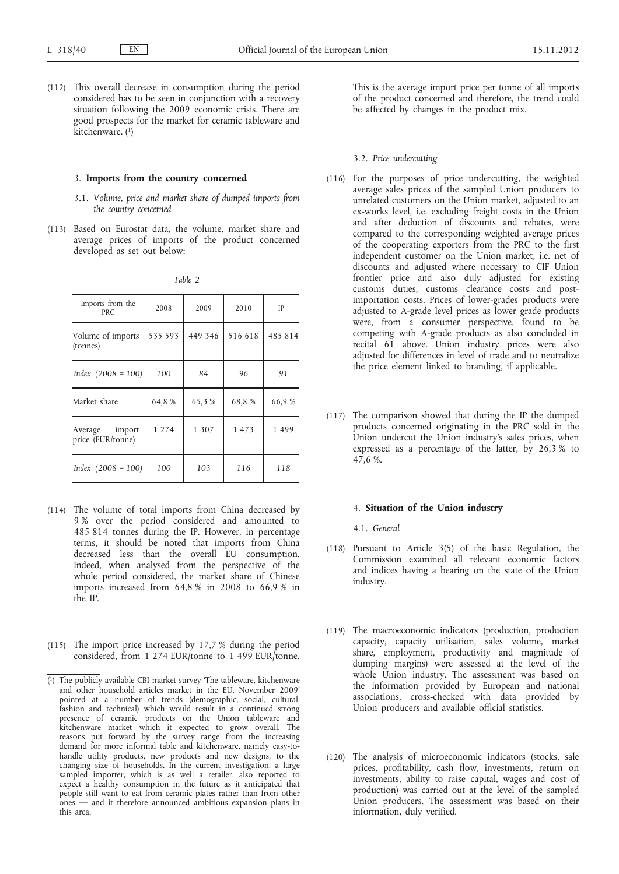(112) This overall decrease in consumption during the period considered has to be seen in conjunction with a recovery situation following the 2009 economic crisis. There are good prospects for the market for ceramic tableware and  $\overrightarrow{k}$ itchenware.  $(1)$ 

#### 3. **Imports from the country concerned**

- 3.1. *Volume, price and market share of dumped imports from the country concerned*
- (113) Based on Eurostat data, the volume, market share and average prices of imports of the product concerned developed as set out below:

| Imports from the<br><b>PRC</b>      | 2008    | 2009    | 2010    | IP      |
|-------------------------------------|---------|---------|---------|---------|
| Volume of imports<br>(tonnes)       | 535 593 | 449 346 | 516 618 | 485 814 |
| Index $(2008 = 100)$                | 100     | 84      | 96      | 91      |
| Market share                        | 64,8%   | 65,3%   | 68,8%   | 66,9%   |
| Average import<br>price (EUR/tonne) | 1 2 7 4 | 1 307   | 1 473   | 1499    |
| Index $(2008 = 100)$                | 100     | 103     | 116     | 118     |

- (114) The volume of total imports from China decreased by 9 % over the period considered and amounted to 485 814 tonnes during the IP. However, in percentage terms, it should be noted that imports from China decreased less than the overall EU consumption. Indeed, when analysed from the perspective of the whole period considered, the market share of Chinese imports increased from 64,8 % in 2008 to 66,9 % in the IP.
- (115) The import price increased by 17,7 % during the period considered, from 1 274 EUR/tonne to 1 499 EUR/tonne.

This is the average import price per tonne of all imports of the product concerned and therefore, the trend could be affected by changes in the product mix.

#### 3.2. *Price undercutting*

- (116) For the purposes of price undercutting, the weighted average sales prices of the sampled Union producers to unrelated customers on the Union market, adjusted to an ex-works level, i.e. excluding freight costs in the Union and after deduction of discounts and rebates, were compared to the corresponding weighted average prices of the cooperating exporters from the PRC to the first independent customer on the Union market, i.e. net of discounts and adjusted where necessary to CIF Union frontier price and also duly adjusted for existing customs duties, customs clearance costs and postimportation costs. Prices of lower-grades products were adjusted to A-grade level prices as lower grade products were, from a consumer perspective, found to be competing with A-grade products as also concluded in recital 61 above. Union industry prices were also adjusted for differences in level of trade and to neutralize the price element linked to branding, if applicable.
- (117) The comparison showed that during the IP the dumped products concerned originating in the PRC sold in the Union undercut the Union industry's sales prices, when expressed as a percentage of the latter, by 26,3 % to 47,6 %.

# 4. **Situation of the Union industry**

4.1. *General*

- (118) Pursuant to Article 3(5) of the basic Regulation, the Commission examined all relevant economic factors and indices having a bearing on the state of the Union industry.
- (119) The macroeconomic indicators (production, production capacity, capacity utilisation, sales volume, market share, employment, productivity and magnitude of dumping margins) were assessed at the level of the whole Union industry. The assessment was based on the information provided by European and national associations, cross-checked with data provided by Union producers and available official statistics.
- (120) The analysis of microeconomic indicators (stocks, sale prices, profitability, cash flow, investments, return on investments, ability to raise capital, wages and cost of production) was carried out at the level of the sampled Union producers. The assessment was based on their information, duly verified.

<sup>(</sup> 1) The publicly available CBI market survey 'The tableware, kitchenware and other household articles market in the EU, November 2009' pointed at a number of trends (demographic, social, cultural, fashion and technical) which would result in a continued strong presence of ceramic products on the Union tableware and kitchenware market which it expected to grow overall. The reasons put forward by the survey range from the increasing demand for more informal table and kitchenware, namely easy-tohandle utility products, new products and new designs, to the changing size of households. In the current investigation, a large sampled importer, which is as well a retailer, also reported to expect a healthy consumption in the future as it anticipated that people still want to eat from ceramic plates rather than from other ones — and it therefore announced ambitious expansion plans in this area.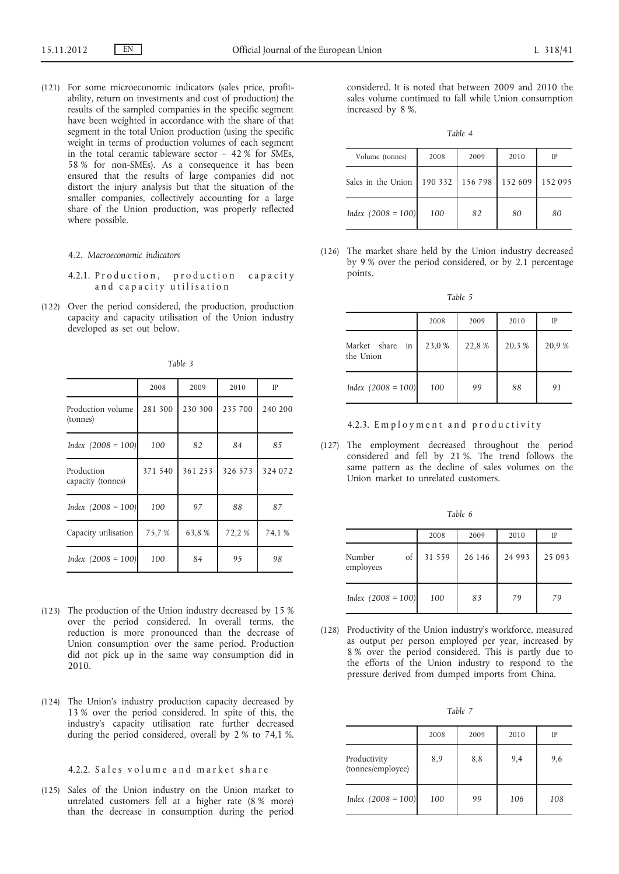(121) For some microeconomic indicators (sales price, profitability, return on investments and cost of production) the results of the sampled companies in the specific segment have been weighted in accordance with the share of that segment in the total Union production (using the specific weight in terms of production volumes of each segment in the total ceramic tableware sector  $-42$  % for SMEs, 58 % for non-SMEs). As a consequence it has been ensured that the results of large companies did not distort the injury analysis but that the situation of the smaller companies, collectively accounting for a large share of the Union production, was properly reflected where possible.

#### 4.2. *Macroeconomic indicators*

- 4.2.1. Production, production capacity and capacity utilisation
- (122) Over the period considered, the production, production capacity and capacity utilisation of the Union industry developed as set out below.

*Table 3*

|                                 | 2008    | 2009    | 2010    | IP      |
|---------------------------------|---------|---------|---------|---------|
| Production volume<br>(tonnes)   | 281 300 | 230 300 | 235 700 | 240 200 |
| Index $(2008 = 100)$            | 100     | 82      | 84      | 85      |
| Production<br>capacity (tonnes) | 371 540 | 361 253 | 326 573 | 324 072 |
| Index $(2008 = 100)$            | 100     | 97      | 88      | 87      |
| Capacity utilisation            | 75,7 %  | 63,8%   | 72,2 %  | 74,1 %  |
| Index $(2008 = 100)$            | 100     | 84      | 95      | 98      |

- (123) The production of the Union industry decreased by 15 % over the period considered. In overall terms, the reduction is more pronounced than the decrease of Union consumption over the same period. Production did not pick up in the same way consumption did in 2010.
- (124) The Union's industry production capacity decreased by 13 % over the period considered. In spite of this, the industry's capacity utilisation rate further decreased during the period considered, overall by 2 % to 74,1 %.

# 4.2.2. Sales volume and market share

(125) Sales of the Union industry on the Union market to unrelated customers fell at a higher rate (8 % more) than the decrease in consumption during the period

considered. It is noted that between 2009 and 2010 the sales volume continued to fall while Union consumption increased by 8 %.

*Table 4*

| Volume (tonnes)      | 2008 | 2009            | 2010    | IP      |
|----------------------|------|-----------------|---------|---------|
| Sales in the Union   |      | 190 332 156 798 | 152 609 | 152 095 |
| Index $(2008 = 100)$ | 100  | 82              | 80      | 80      |

(126) The market share held by the Union industry decreased by 9 % over the period considered, or by 2.1 percentage points.

*Table 5*

|                                         | 2008   | 2009   | 2010  | IP    |
|-----------------------------------------|--------|--------|-------|-------|
| Market share<br>$in \cdot$<br>the Union | 23,0 % | 22,8 % | 20,3% | 20,9% |
| Index $(2008 = 100)$                    | 100    | 99     | 88    | 91    |

4.2.3. Employment and productivity

(127) The employment decreased throughout the period considered and fell by 21 %. The trend follows the same pattern as the decline of sales volumes on the Union market to unrelated customers.

|                           | 2008   | 2009   | 2010     | IP     |
|---------------------------|--------|--------|----------|--------|
| of<br>Number<br>employees | 31 559 | 26 146 | 24 9 9 3 | 25 093 |
| Index $(2008 = 100)$      | 100    | 83     | 79       | 79     |

(128) Productivity of the Union industry's workforce, measured as output per person employed per year, increased by 8 % over the period considered. This is partly due to the efforts of the Union industry to respond to the pressure derived from dumped imports from China.

|--|

|                                   | 2008 | 2009 | 2010 | IP  |
|-----------------------------------|------|------|------|-----|
| Productivity<br>(tonnes/employee) | 8,9  | 8,8  | 9,4  | 9,6 |
| Index $(2008 = 100)$              | 100  | 99   | 106  | 108 |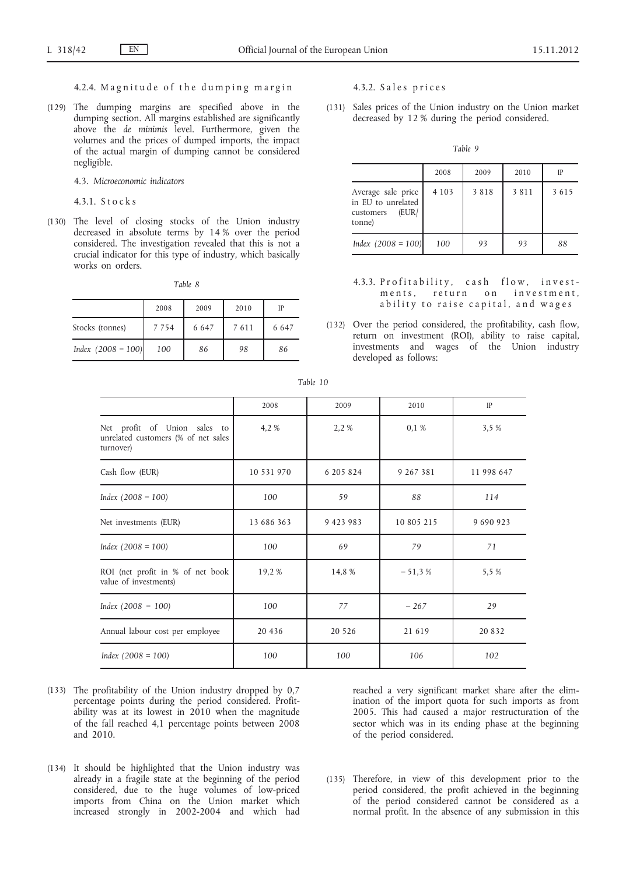# 4.2.4. Magnitude of the dumping margin

(129) The dumping margins are specified above in the dumping section. All margins established are significantly above the *de minimis* level. Furthermore, given the volumes and the prices of dumped imports, the impact of the actual margin of dumping cannot be considered negligible.

4.3. *Microeconomic indicators*

4.3.1. S t o c k s

(130) The level of closing stocks of the Union industry decreased in absolute terms by 14 % over the period considered. The investigation revealed that this is not a crucial indicator for this type of industry, which basically works on orders.

|--|--|--|--|

|                      | 2008    | 2009    | 2010 | IP      |
|----------------------|---------|---------|------|---------|
| Stocks (tonnes)      | 7 7 5 4 | 6 6 4 7 | 7611 | 6 6 4 7 |
| Index $(2008 = 100)$ | 100     | 86      | 98   | 86      |

4.3.2. Sales prices

(131) Sales prices of the Union industry on the Union market decreased by 12 % during the period considered.

*Table 9*

|                                                                          | 2008    | 2009 | 2010 | IP   |
|--------------------------------------------------------------------------|---------|------|------|------|
| Average sale price<br>in EU to unrelated<br>(EUR)<br>customers<br>tonne) | 4 1 0 3 | 3818 | 3811 | 3615 |
| Index $(2008 = 100)$                                                     | 100     | 93   | 93   | 88   |

- 4.3.3. Profitability, cash flow, investments, return on investment, ability to raise capital, and wages
- (132) Over the period considered, the profitability, cash flow, return on investment (ROI), ability to raise capital, investments and wages of the Union industry developed as follows:

|                                                                                  | 2008       | 2009          | 2010       | IP         |
|----------------------------------------------------------------------------------|------------|---------------|------------|------------|
| Net profit of Union sales to<br>unrelated customers (% of net sales<br>turnover) | 4,2 %      | 2,2 %         | 0,1%       | 3,5 %      |
| Cash flow (EUR)                                                                  | 10 531 970 | 6 205 824     | 9 267 381  | 11 998 647 |
| $Index (2008 = 100)$                                                             | 100        | 59            | 88         | 114        |
| Net investments (EUR)                                                            | 13 686 363 | 9 4 2 3 9 8 3 | 10 805 215 | 9 690 923  |
| $Index (2008 = 100)$                                                             | 100        | 69            | 79         | 71         |
| ROI (net profit in % of net book<br>value of investments)                        | 19,2 %     | 14,8 %        | $-51,3%$   | 5,5 %      |
| $Index (2008 = 100)$                                                             | 100        | 77            | $-267$     | 29         |
| Annual labour cost per employee                                                  | 20 4 3 6   | 20 5 26       | 21 6 19    | 20 8 3 2   |
| Index $(2008 = 100)$                                                             | 100        | 100           | 106        | 102        |

*Table 10*

- (133) The profitability of the Union industry dropped by 0,7 percentage points during the period considered. Profitability was at its lowest in 2010 when the magnitude of the fall reached 4,1 percentage points between 2008 and 2010.
- (134) It should be highlighted that the Union industry was already in a fragile state at the beginning of the period considered, due to the huge volumes of low-priced imports from China on the Union market which increased strongly in 2002-2004 and which had

reached a very significant market share after the elimination of the import quota for such imports as from 2005. This had caused a major restructuration of the sector which was in its ending phase at the beginning of the period considered.

(135) Therefore, in view of this development prior to the period considered, the profit achieved in the beginning of the period considered cannot be considered as a normal profit. In the absence of any submission in this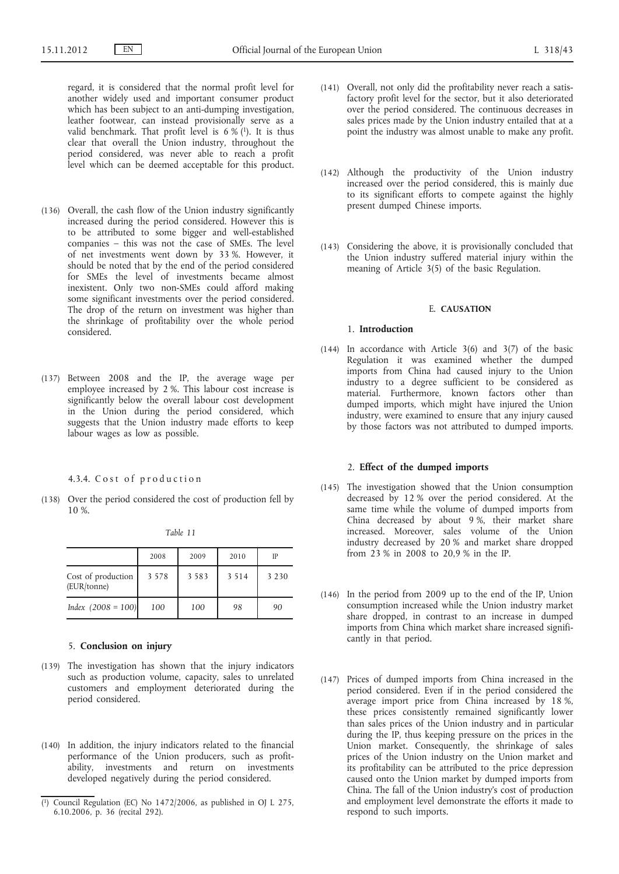regard, it is considered that the normal profit level for another widely used and important consumer product which has been subject to an anti-dumping investigation, leather footwear, can instead provisionally serve as a valid benchmark. That profit level is  $6\%$ <sup>(1)</sup>. It is thus clear that overall the Union industry, throughout the period considered, was never able to reach a profit level which can be deemed acceptable for this product.

- (136) Overall, the cash flow of the Union industry significantly increased during the period considered. However this is to be attributed to some bigger and well-established companies – this was not the case of SMEs. The level of net investments went down by 33 %. However, it should be noted that by the end of the period considered for SMEs the level of investments became almost inexistent. Only two non-SMEs could afford making some significant investments over the period considered. The drop of the return on investment was higher than the shrinkage of profitability over the whole period considered.
- (137) Between 2008 and the IP, the average wage per employee increased by 2 %. This labour cost increase is significantly below the overall labour cost development in the Union during the period considered, which suggests that the Union industry made efforts to keep labour wages as low as possible.

#### 4.3.4. Cost of production

(138) Over the period considered the cost of production fell by 10 %.

*Table 11*

|                                   | 2008    | 2009    | 2010    | IP      |
|-----------------------------------|---------|---------|---------|---------|
| Cost of production<br>(EUR/tonne) | 3 5 7 8 | 3 5 8 3 | 3 5 1 4 | 3 2 3 0 |
| Index $(2008 = 100)$              | 100     | 100     | 98      | 90      |

## 5. **Conclusion on injury**

- (139) The investigation has shown that the injury indicators such as production volume, capacity, sales to unrelated customers and employment deteriorated during the period considered.
- (140) In addition, the injury indicators related to the financial performance of the Union producers, such as profitability, investments and return on investments developed negatively during the period considered.
- (141) Overall, not only did the profitability never reach a satisfactory profit level for the sector, but it also deteriorated over the period considered. The continuous decreases in sales prices made by the Union industry entailed that at a point the industry was almost unable to make any profit.
- (142) Although the productivity of the Union industry increased over the period considered, this is mainly due to its significant efforts to compete against the highly present dumped Chinese imports.
- (143) Considering the above, it is provisionally concluded that the Union industry suffered material injury within the meaning of Article 3(5) of the basic Regulation.

### E. **CAUSATION**

#### 1. **Introduction**

(144) In accordance with Article 3(6) and 3(7) of the basic Regulation it was examined whether the dumped imports from China had caused injury to the Union industry to a degree sufficient to be considered as material. Furthermore, known factors other than dumped imports, which might have injured the Union industry, were examined to ensure that any injury caused by those factors was not attributed to dumped imports.

# 2. **Effect of the dumped imports**

- (145) The investigation showed that the Union consumption decreased by 12 % over the period considered. At the same time while the volume of dumped imports from China decreased by about 9 %, their market share increased. Moreover, sales volume of the Union industry decreased by 20 % and market share dropped from 23 % in 2008 to 20,9 % in the IP.
- (146) In the period from 2009 up to the end of the IP, Union consumption increased while the Union industry market share dropped, in contrast to an increase in dumped imports from China which market share increased significantly in that period.
- (147) Prices of dumped imports from China increased in the period considered. Even if in the period considered the average import price from China increased by 18 %, these prices consistently remained significantly lower than sales prices of the Union industry and in particular during the IP, thus keeping pressure on the prices in the Union market. Consequently, the shrinkage of sales prices of the Union industry on the Union market and its profitability can be attributed to the price depression caused onto the Union market by dumped imports from China. The fall of the Union industry's cost of production and employment level demonstrate the efforts it made to respond to such imports.

<sup>(</sup> 1) Council Regulation (EC) No 1472/2006, as published in OJ L 275, 6.10.2006, p. 36 (recital 292).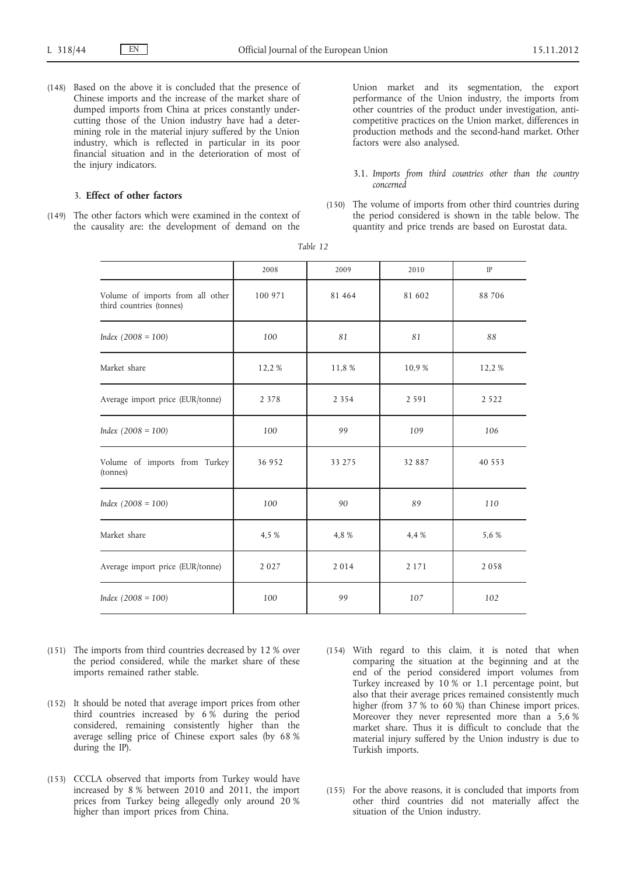(148) Based on the above it is concluded that the presence of Chinese imports and the increase of the market share of dumped imports from China at prices constantly undercutting those of the Union industry have had a determining role in the material injury suffered by the Union industry, which is reflected in particular in its poor financial situation and in the deterioration of most of the injury indicators.

# 3. **Effect of other factors**

(149) The other factors which were examined in the context of the causality are: the development of demand on the Union market and its segmentation, the export performance of the Union industry, the imports from other countries of the product under investigation, anticompetitive practices on the Union market, differences in production methods and the second-hand market. Other factors were also analysed.

- 3.1. *Imports from third countries other than the country concerned*
- (150) The volume of imports from other third countries during the period considered is shown in the table below. The quantity and price trends are based on Eurostat data.

|                                                              | 2008    | 2009    | 2010    | IP       |
|--------------------------------------------------------------|---------|---------|---------|----------|
| Volume of imports from all other<br>third countries (tonnes) | 100 971 | 81 464  | 81 602  | 88 706   |
| $Index (2008 = 100)$                                         | 100     | 81      | 81      | 88       |
| Market share                                                 | 12,2%   | 11,8 %  | 10,9%   | 12,2 %   |
| Average import price (EUR/tonne)                             | 2 3 7 8 | 2 3 5 4 | 2 5 9 1 | 2 5 2 2  |
| $Index (2008 = 100)$                                         | 100     | 99      | 109     | 106      |
| Volume of imports from Turkey<br>(tonnes)                    | 36 952  | 33 275  | 32 887  | 40 5 5 3 |
| $Index (2008 = 100)$                                         | 100     | 90      | 89      | 110      |
| Market share                                                 | 4,5 %   | 4,8 %   | 4,4 %   | 5,6 %    |
| Average import price (EUR/tonne)                             | 2027    | 2014    | 2 1 7 1 | 2058     |
| $Index (2008 = 100)$                                         | 100     | 99      | 107     | 102      |

| ۰,<br>. . |  |
|-----------|--|
|-----------|--|

- (151) The imports from third countries decreased by 12 % over the period considered, while the market share of these imports remained rather stable.
- (152) It should be noted that average import prices from other third countries increased by  $6\%$  during the period considered, remaining consistently higher than the average selling price of Chinese export sales (by 68 % during the IP).
- (153) CCCLA observed that imports from Turkey would have increased by 8 % between 2010 and 2011, the import prices from Turkey being allegedly only around 20 % higher than import prices from China.
- (154) With regard to this claim, it is noted that when comparing the situation at the beginning and at the end of the period considered import volumes from Turkey increased by 10 % or 1.1 percentage point, but also that their average prices remained consistently much higher (from 37 % to 60 %) than Chinese import prices. Moreover they never represented more than a 5,6 % market share. Thus it is difficult to conclude that the material injury suffered by the Union industry is due to Turkish imports.
- (155) For the above reasons, it is concluded that imports from other third countries did not materially affect the situation of the Union industry.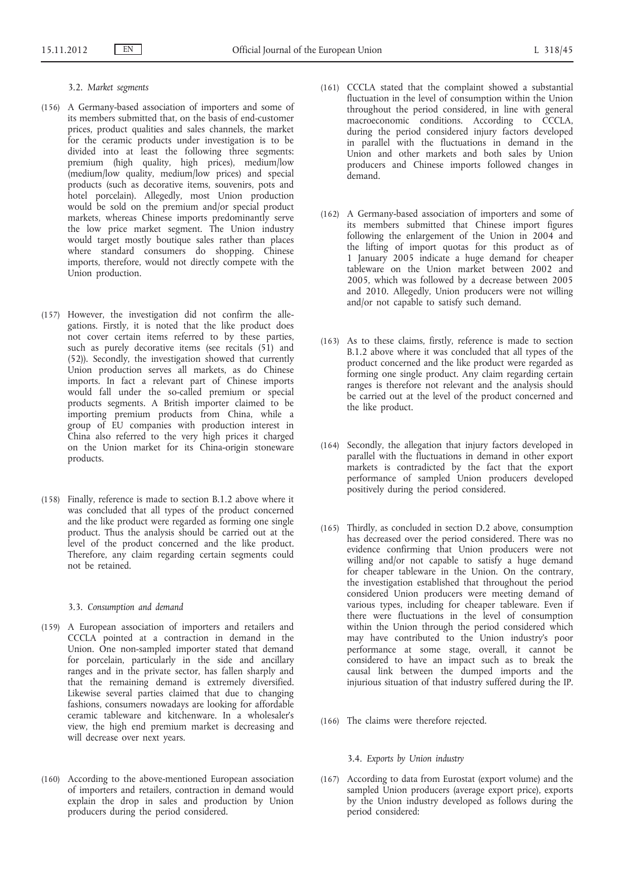#### 3.2. *Market segments*

- (156) A Germany-based association of importers and some of its members submitted that, on the basis of end-customer prices, product qualities and sales channels, the market for the ceramic products under investigation is to be divided into at least the following three segments: premium (high quality, high prices), medium/low (medium/low quality, medium/low prices) and special products (such as decorative items, souvenirs, pots and hotel porcelain). Allegedly, most Union production would be sold on the premium and/or special product markets, whereas Chinese imports predominantly serve the low price market segment. The Union industry would target mostly boutique sales rather than places where standard consumers do shopping. Chinese imports, therefore, would not directly compete with the Union production.
- (157) However, the investigation did not confirm the allegations. Firstly, it is noted that the like product does not cover certain items referred to by these parties, such as purely decorative items (see recitals  $(51)$  and (52)). Secondly, the investigation showed that currently Union production serves all markets, as do Chinese imports. In fact a relevant part of Chinese imports would fall under the so-called premium or special products segments. A British importer claimed to be importing premium products from China, while a group of EU companies with production interest in China also referred to the very high prices it charged on the Union market for its China-origin stoneware products.
- (158) Finally, reference is made to section B.1.2 above where it was concluded that all types of the product concerned and the like product were regarded as forming one single product. Thus the analysis should be carried out at the level of the product concerned and the like product. Therefore, any claim regarding certain segments could not be retained.

#### 3.3. *Consumption and demand*

- (159) A European association of importers and retailers and CCCLA pointed at a contraction in demand in the Union. One non-sampled importer stated that demand for porcelain, particularly in the side and ancillary ranges and in the private sector, has fallen sharply and that the remaining demand is extremely diversified. Likewise several parties claimed that due to changing fashions, consumers nowadays are looking for affordable ceramic tableware and kitchenware. In a wholesaler's view, the high end premium market is decreasing and will decrease over next years.
- (160) According to the above-mentioned European association of importers and retailers, contraction in demand would explain the drop in sales and production by Union producers during the period considered.
- (161) CCCLA stated that the complaint showed a substantial fluctuation in the level of consumption within the Union throughout the period considered, in line with general macroeconomic conditions. According to CCCLA, during the period considered injury factors developed in parallel with the fluctuations in demand in the Union and other markets and both sales by Union producers and Chinese imports followed changes in demand.
- (162) A Germany-based association of importers and some of its members submitted that Chinese import figures following the enlargement of the Union in 2004 and the lifting of import quotas for this product as of 1 January 2005 indicate a huge demand for cheaper tableware on the Union market between 2002 and 2005, which was followed by a decrease between 2005 and 2010. Allegedly, Union producers were not willing and/or not capable to satisfy such demand.
- (163) As to these claims, firstly, reference is made to section B.1.2 above where it was concluded that all types of the product concerned and the like product were regarded as forming one single product. Any claim regarding certain ranges is therefore not relevant and the analysis should be carried out at the level of the product concerned and the like product.
- (164) Secondly, the allegation that injury factors developed in parallel with the fluctuations in demand in other export markets is contradicted by the fact that the export performance of sampled Union producers developed positively during the period considered.
- (165) Thirdly, as concluded in section D.2 above, consumption has decreased over the period considered. There was no evidence confirming that Union producers were not willing and/or not capable to satisfy a huge demand for cheaper tableware in the Union. On the contrary, the investigation established that throughout the period considered Union producers were meeting demand of various types, including for cheaper tableware. Even if there were fluctuations in the level of consumption within the Union through the period considered which may have contributed to the Union industry's poor performance at some stage, overall, it cannot be considered to have an impact such as to break the causal link between the dumped imports and the injurious situation of that industry suffered during the IP.
- (166) The claims were therefore rejected.

### 3.4. *Exports by Union industry*

(167) According to data from Eurostat (export volume) and the sampled Union producers (average export price), exports by the Union industry developed as follows during the period considered: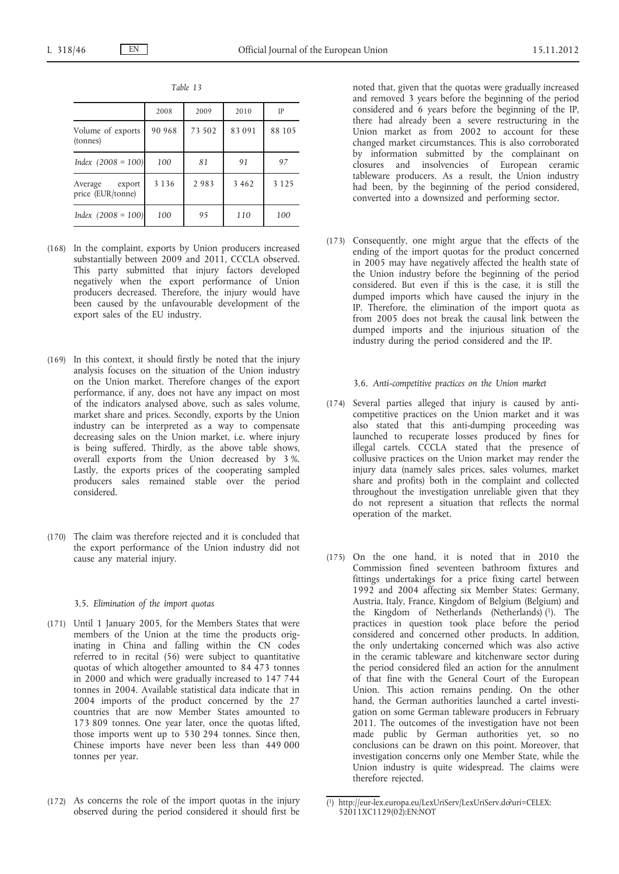|                                        | 2008    | 2009   | 2010    | IP      |
|----------------------------------------|---------|--------|---------|---------|
| Volume of exports<br>(tonnes)          | 90 968  | 73 502 | 83 091  | 88 105  |
| Index $(2008 = 100)$                   | 100     | 81     | 91      | 97      |
| Average<br>export<br>price (EUR/tonne) | 3 1 3 6 | 2983   | 3 4 6 2 | 3 1 2 5 |
| Index $(2008 = 100)$                   | 100     | 95     | 110     | 100     |

*Table 13*

- (168) In the complaint, exports by Union producers increased substantially between 2009 and 2011, CCCLA observed. This party submitted that injury factors developed negatively when the export performance of Union producers decreased. Therefore, the injury would have been caused by the unfavourable development of the export sales of the EU industry.
- (169) In this context, it should firstly be noted that the injury analysis focuses on the situation of the Union industry on the Union market. Therefore changes of the export performance, if any, does not have any impact on most of the indicators analysed above, such as sales volume, market share and prices. Secondly, exports by the Union industry can be interpreted as a way to compensate decreasing sales on the Union market, i.e. where injury is being suffered. Thirdly, as the above table shows, overall exports from the Union decreased by 3 %. Lastly, the exports prices of the cooperating sampled producers sales remained stable over the period considered.
- (170) The claim was therefore rejected and it is concluded that the export performance of the Union industry did not cause any material injury.

### 3.5. *Elimination of the import quotas*

- (171) Until 1 January 2005, for the Members States that were members of the Union at the time the products originating in China and falling within the CN codes referred to in recital (56) were subject to quantitative quotas of which altogether amounted to  $84$   $473$  tonnes in 2000 and which were gradually increased to 147 744 tonnes in 2004. Available statistical data indicate that in 2004 imports of the product concerned by the 27 countries that are now Member States amounted to 173 809 tonnes. One year later, once the quotas lifted, those imports went up to 530 294 tonnes. Since then, Chinese imports have never been less than 449 000 tonnes per year.
- (172) As concerns the role of the import quotas in the injury observed during the period considered it should first be

noted that, given that the quotas were gradually increased and removed 3 years before the beginning of the period considered and 6 years before the beginning of the IP, there had already been a severe restructuring in the Union market as from 2002 to account for these changed market circumstances. This is also corroborated by information submitted by the complainant on closures and insolvencies of European ceramic tableware producers. As a result, the Union industry had been, by the beginning of the period considered, converted into a downsized and performing sector.

(173) Consequently, one might argue that the effects of the ending of the import quotas for the product concerned in 2005 may have negatively affected the health state of the Union industry before the beginning of the period considered. But even if this is the case, it is still the dumped imports which have caused the injury in the IP. Therefore, the elimination of the import quota as from 2005 does not break the causal link between the dumped imports and the injurious situation of the industry during the period considered and the IP.

#### 3.6. *Anti-competitive practices on the Union market*

- (174) Several parties alleged that injury is caused by anticompetitive practices on the Union market and it was also stated that this anti-dumping proceeding was launched to recuperate losses produced by fines for illegal cartels. CCCLA stated that the presence of collusive practices on the Union market may render the injury data (namely sales prices, sales volumes, market share and profits) both in the complaint and collected throughout the investigation unreliable given that they do not represent a situation that reflects the normal operation of the market.
- (175) On the one hand, it is noted that in 2010 the Commission fined seventeen bathroom fixtures and fittings undertakings for a price fixing cartel between 1992 and 2004 affecting six Member States: Germany, Austria, Italy, France, Kingdom of Belgium (Belgium) and the Kingdom of Netherlands (Netherlands) (1). The practices in question took place before the period considered and concerned other products. In addition, the only undertaking concerned which was also active in the ceramic tableware and kitchenware sector during the period considered filed an action for the annulment of that fine with the General Court of the European Union. This action remains pending. On the other hand, the German authorities launched a cartel investigation on some German tableware producers in February 2011. The outcomes of the investigation have not been made public by German authorities yet, so no conclusions can be drawn on this point. Moreover, that investigation concerns only one Member State, while the Union industry is quite widespread. The claims were therefore rejected.

<sup>(</sup> 1) [http://eur-lex.europa.eu/LexUriServ/LexUriServ.do?uri=CELEX:](http://eur-lex.europa.eu/LexUriServ/LexUriServ.do?uri=CELEX:52011XC1129(02):EN:NOT) [52011XC1129\(02\):EN:NOT](http://eur-lex.europa.eu/LexUriServ/LexUriServ.do?uri=CELEX:52011XC1129(02):EN:NOT)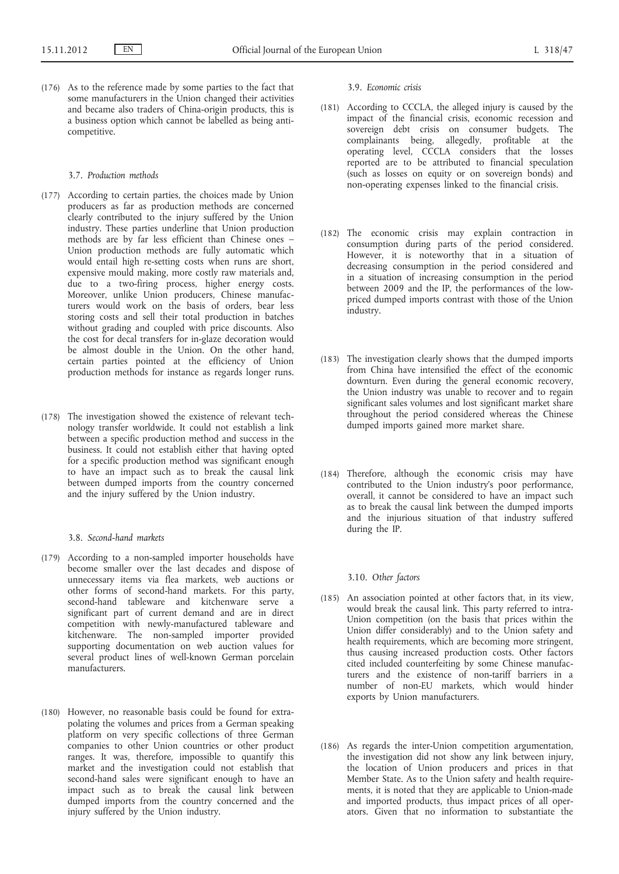(176) As to the reference made by some parties to the fact that some manufacturers in the Union changed their activities and became also traders of China-origin products, this is a business option which cannot be labelled as being anticompetitive.

# 3.7. *Production methods*

- (177) According to certain parties, the choices made by Union producers as far as production methods are concerned clearly contributed to the injury suffered by the Union industry. These parties underline that Union production methods are by far less efficient than Chinese ones – Union production methods are fully automatic which would entail high re-setting costs when runs are short, expensive mould making, more costly raw materials and, due to a two-firing process, higher energy costs. Moreover, unlike Union producers, Chinese manufacturers would work on the basis of orders, bear less storing costs and sell their total production in batches without grading and coupled with price discounts. Also the cost for decal transfers for in-glaze decoration would be almost double in the Union. On the other hand, certain parties pointed at the efficiency of Union production methods for instance as regards longer runs.
- (178) The investigation showed the existence of relevant technology transfer worldwide. It could not establish a link between a specific production method and success in the business. It could not establish either that having opted for a specific production method was significant enough to have an impact such as to break the causal link between dumped imports from the country concerned and the injury suffered by the Union industry.

#### 3.8. *Second-hand markets*

- (179) According to a non-sampled importer households have become smaller over the last decades and dispose of unnecessary items via flea markets, web auctions or other forms of second-hand markets. For this party, second-hand tableware and kitchenware serve a significant part of current demand and are in direct competition with newly-manufactured tableware and kitchenware. The non-sampled importer provided supporting documentation on web auction values for several product lines of well-known German porcelain manufacturers.
- (180) However, no reasonable basis could be found for extrapolating the volumes and prices from a German speaking platform on very specific collections of three German companies to other Union countries or other product ranges. It was, therefore, impossible to quantify this market and the investigation could not establish that second-hand sales were significant enough to have an impact such as to break the causal link between dumped imports from the country concerned and the injury suffered by the Union industry.

#### 3.9. *Economic crisis*

- (181) According to CCCLA, the alleged injury is caused by the impact of the financial crisis, economic recession and sovereign debt crisis on consumer budgets. The complainants being, allegedly, profitable at the operating level, CCCLA considers that the losses reported are to be attributed to financial speculation (such as losses on equity or on sovereign bonds) and non-operating expenses linked to the financial crisis.
- (182) The economic crisis may explain contraction in consumption during parts of the period considered. However, it is noteworthy that in a situation of decreasing consumption in the period considered and in a situation of increasing consumption in the period between 2009 and the IP, the performances of the lowpriced dumped imports contrast with those of the Union industry.
- (183) The investigation clearly shows that the dumped imports from China have intensified the effect of the economic downturn. Even during the general economic recovery, the Union industry was unable to recover and to regain significant sales volumes and lost significant market share throughout the period considered whereas the Chinese dumped imports gained more market share.
- (184) Therefore, although the economic crisis may have contributed to the Union industry's poor performance, overall, it cannot be considered to have an impact such as to break the causal link between the dumped imports and the injurious situation of that industry suffered during the IP.

### 3.10. *Other factors*

- (185) An association pointed at other factors that, in its view, would break the causal link. This party referred to intra-Union competition (on the basis that prices within the Union differ considerably) and to the Union safety and health requirements, which are becoming more stringent, thus causing increased production costs. Other factors cited included counterfeiting by some Chinese manufacturers and the existence of non-tariff barriers in a number of non-EU markets, which would hinder exports by Union manufacturers.
- (186) As regards the inter-Union competition argumentation, the investigation did not show any link between injury, the location of Union producers and prices in that Member State. As to the Union safety and health requirements, it is noted that they are applicable to Union-made and imported products, thus impact prices of all operators. Given that no information to substantiate the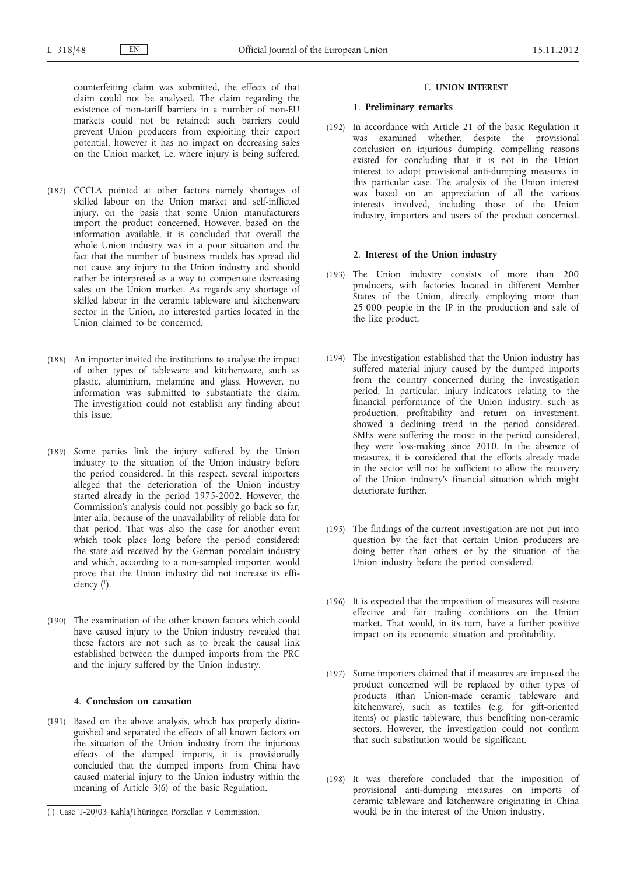counterfeiting claim was submitted, the effects of that claim could not be analysed. The claim regarding the existence of non-tariff barriers in a number of non-EU markets could not be retained: such barriers could prevent Union producers from exploiting their export potential, however it has no impact on decreasing sales on the Union market, i.e. where injury is being suffered.

- (187) CCCLA pointed at other factors namely shortages of skilled labour on the Union market and self-inflicted injury, on the basis that some Union manufacturers import the product concerned. However, based on the information available, it is concluded that overall the whole Union industry was in a poor situation and the fact that the number of business models has spread did not cause any injury to the Union industry and should rather be interpreted as a way to compensate decreasing sales on the Union market. As regards any shortage of skilled labour in the ceramic tableware and kitchenware sector in the Union, no interested parties located in the Union claimed to be concerned.
- (188) An importer invited the institutions to analyse the impact of other types of tableware and kitchenware, such as plastic, aluminium, melamine and glass. However, no information was submitted to substantiate the claim. The investigation could not establish any finding about this issue.
- (189) Some parties link the injury suffered by the Union industry to the situation of the Union industry before the period considered. In this respect, several importers alleged that the deterioration of the Union industry started already in the period 1975-2002. However, the Commission's analysis could not possibly go back so far, inter alia, because of the unavailability of reliable data for that period. That was also the case for another event which took place long before the period considered: the state aid received by the German porcelain industry and which, according to a non-sampled importer, would prove that the Union industry did not increase its efficiency  $(1)$ .
- (190) The examination of the other known factors which could have caused injury to the Union industry revealed that these factors are not such as to break the causal link established between the dumped imports from the PRC and the injury suffered by the Union industry.

# 4. **Conclusion on causation**

(191) Based on the above analysis, which has properly distinguished and separated the effects of all known factors on the situation of the Union industry from the injurious effects of the dumped imports, it is provisionally concluded that the dumped imports from China have caused material injury to the Union industry within the meaning of Article 3(6) of the basic Regulation.

#### F. **UNION INTEREST**

#### 1. **Preliminary remarks**

(192) In accordance with Article 21 of the basic Regulation it was examined whether, despite the provisional conclusion on injurious dumping, compelling reasons existed for concluding that it is not in the Union interest to adopt provisional anti-dumping measures in this particular case. The analysis of the Union interest was based on an appreciation of all the various interests involved, including those of the Union industry, importers and users of the product concerned.

# 2. **Interest of the Union industry**

- (193) The Union industry consists of more than 200 producers, with factories located in different Member States of the Union, directly employing more than 25 000 people in the IP in the production and sale of the like product.
- (194) The investigation established that the Union industry has suffered material injury caused by the dumped imports from the country concerned during the investigation period. In particular, injury indicators relating to the financial performance of the Union industry, such as production, profitability and return on investment, showed a declining trend in the period considered. SMEs were suffering the most: in the period considered, they were loss-making since 2010. In the absence of measures, it is considered that the efforts already made in the sector will not be sufficient to allow the recovery of the Union industry's financial situation which might deteriorate further.
- (195) The findings of the current investigation are not put into question by the fact that certain Union producers are doing better than others or by the situation of the Union industry before the period considered.
- (196) It is expected that the imposition of measures will restore effective and fair trading conditions on the Union market. That would, in its turn, have a further positive impact on its economic situation and profitability.
- (197) Some importers claimed that if measures are imposed the product concerned will be replaced by other types of products (than Union-made ceramic tableware and kitchenware), such as textiles (e.g. for gift-oriented items) or plastic tableware, thus benefiting non-ceramic sectors. However, the investigation could not confirm that such substitution would be significant.
- (198) It was therefore concluded that the imposition of provisional anti-dumping measures on imports of ceramic tableware and kitchenware originating in China would be in the interest of the Union industry.

<sup>(</sup> 1) Case T-20/03 Kahla/Thüringen Porzellan v Commission.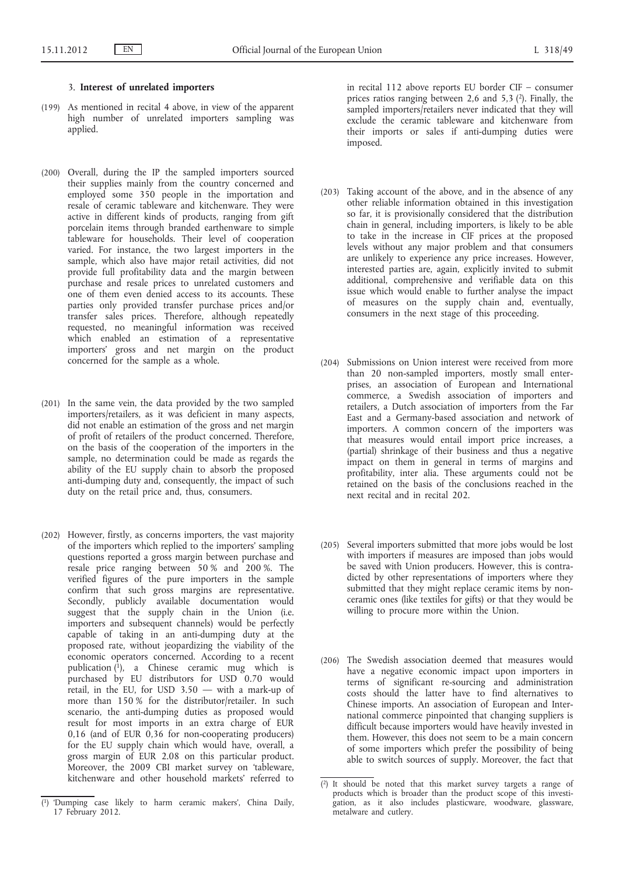# 3. **Interest of unrelated importers**

- (199) As mentioned in recital 4 above, in view of the apparent high number of unrelated importers sampling was applied.
- (200) Overall, during the IP the sampled importers sourced their supplies mainly from the country concerned and employed some 350 people in the importation and resale of ceramic tableware and kitchenware. They were active in different kinds of products, ranging from gift porcelain items through branded earthenware to simple tableware for households. Their level of cooperation varied. For instance, the two largest importers in the sample, which also have major retail activities, did not provide full profitability data and the margin between purchase and resale prices to unrelated customers and one of them even denied access to its accounts. These parties only provided transfer purchase prices and/or transfer sales prices. Therefore, although repeatedly requested, no meaningful information was received which enabled an estimation of a representative importers' gross and net margin on the product concerned for the sample as a whole.
- (201) In the same vein, the data provided by the two sampled importers/retailers, as it was deficient in many aspects, did not enable an estimation of the gross and net margin of profit of retailers of the product concerned. Therefore, on the basis of the cooperation of the importers in the sample, no determination could be made as regards the ability of the EU supply chain to absorb the proposed anti-dumping duty and, consequently, the impact of such duty on the retail price and, thus, consumers.
- (202) However, firstly, as concerns importers, the vast majority of the importers which replied to the importers' sampling questions reported a gross margin between purchase and resale price ranging between 50 % and 200 %. The verified figures of the pure importers in the sample confirm that such gross margins are representative. Secondly, publicly available documentation would suggest that the supply chain in the Union (i.e. importers and subsequent channels) would be perfectly capable of taking in an anti-dumping duty at the proposed rate, without jeopardizing the viability of the economic operators concerned. According to a recent publication  $(1)$ , a Chinese ceramic mug which is purchased by EU distributors for USD 0.70 would retail, in the EU, for USD 3.50 — with a mark-up of more than 150 % for the distributor/retailer. In such scenario, the anti-dumping duties as proposed would result for most imports in an extra charge of EUR 0,16 (and of EUR 0,36 for non-cooperating producers) for the EU supply chain which would have, overall, a gross margin of EUR 2.08 on this particular product. Moreover, the 2009 CBI market survey on 'tableware, kitchenware and other household markets' referred to

in recital 112 above reports EU border CIF – consumer prices ratios ranging between 2,6 and 5,3  $(2)$ . Finally, the sampled importers/retailers never indicated that they will exclude the ceramic tableware and kitchenware from their imports or sales if anti-dumping duties were imposed.

- (203) Taking account of the above, and in the absence of any other reliable information obtained in this investigation so far, it is provisionally considered that the distribution chain in general, including importers, is likely to be able to take in the increase in CIF prices at the proposed levels without any major problem and that consumers are unlikely to experience any price increases. However, interested parties are, again, explicitly invited to submit additional, comprehensive and verifiable data on this issue which would enable to further analyse the impact of measures on the supply chain and, eventually, consumers in the next stage of this proceeding.
- (204) Submissions on Union interest were received from more than 20 non-sampled importers, mostly small enterprises, an association of European and International commerce, a Swedish association of importers and retailers, a Dutch association of importers from the Far East and a Germany-based association and network of importers. A common concern of the importers was that measures would entail import price increases, a (partial) shrinkage of their business and thus a negative impact on them in general in terms of margins and profitability, inter alia. These arguments could not be retained on the basis of the conclusions reached in the next recital and in recital 202.
- (205) Several importers submitted that more jobs would be lost with importers if measures are imposed than jobs would be saved with Union producers. However, this is contradicted by other representations of importers where they submitted that they might replace ceramic items by nonceramic ones (like textiles for gifts) or that they would be willing to procure more within the Union.
- (206) The Swedish association deemed that measures would have a negative economic impact upon importers in terms of significant re-sourcing and administration costs should the latter have to find alternatives to Chinese imports. An association of European and International commerce pinpointed that changing suppliers is difficult because importers would have heavily invested in them. However, this does not seem to be a main concern of some importers which prefer the possibility of being able to switch sources of supply. Moreover, the fact that

<sup>(</sup> 1) 'Dumping case likely to harm ceramic makers', China Daily, 17 February 2012.

<sup>(</sup> 2) It should be noted that this market survey targets a range of products which is broader than the product scope of this investigation, as it also includes plasticware, woodware, glassware, metalware and cutlery.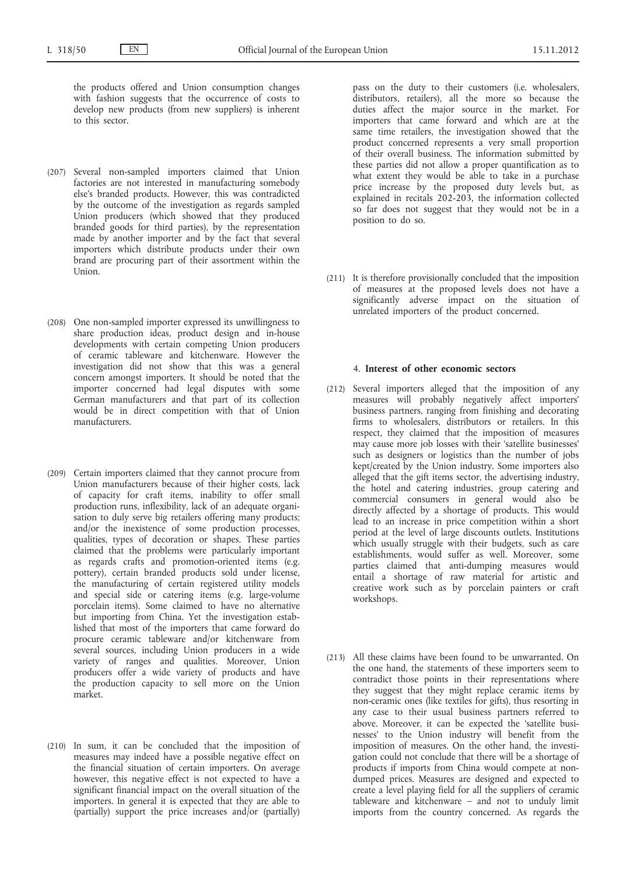the products offered and Union consumption changes with fashion suggests that the occurrence of costs to develop new products (from new suppliers) is inherent to this sector.

- (207) Several non-sampled importers claimed that Union factories are not interested in manufacturing somebody else's branded products. However, this was contradicted by the outcome of the investigation as regards sampled Union producers (which showed that they produced branded goods for third parties), by the representation made by another importer and by the fact that several importers which distribute products under their own brand are procuring part of their assortment within the Union.
- (208) One non-sampled importer expressed its unwillingness to share production ideas, product design and in-house developments with certain competing Union producers of ceramic tableware and kitchenware. However the investigation did not show that this was a general concern amongst importers. It should be noted that the importer concerned had legal disputes with some German manufacturers and that part of its collection would be in direct competition with that of Union manufacturers.
- (209) Certain importers claimed that they cannot procure from Union manufacturers because of their higher costs, lack of capacity for craft items, inability to offer small production runs, inflexibility, lack of an adequate organisation to duly serve big retailers offering many products; and/or the inexistence of some production processes, qualities, types of decoration or shapes. These parties claimed that the problems were particularly important as regards crafts and promotion-oriented items (e.g. pottery), certain branded products sold under license, the manufacturing of certain registered utility models and special side or catering items (e.g. large-volume porcelain items). Some claimed to have no alternative but importing from China. Yet the investigation established that most of the importers that came forward do procure ceramic tableware and/or kitchenware from several sources, including Union producers in a wide variety of ranges and qualities. Moreover, Union producers offer a wide variety of products and have the production capacity to sell more on the Union market.
- (210) In sum, it can be concluded that the imposition of measures may indeed have a possible negative effect on the financial situation of certain importers. On average however, this negative effect is not expected to have a significant financial impact on the overall situation of the importers. In general it is expected that they are able to (partially) support the price increases and/or (partially)

pass on the duty to their customers (i.e. wholesalers, distributors, retailers), all the more so because the duties affect the major source in the market. For importers that came forward and which are at the same time retailers, the investigation showed that the product concerned represents a very small proportion of their overall business. The information submitted by these parties did not allow a proper quantification as to what extent they would be able to take in a purchase price increase by the proposed duty levels but, as explained in recitals 202-203, the information collected so far does not suggest that they would not be in a position to do so.

(211) It is therefore provisionally concluded that the imposition of measures at the proposed levels does not have a significantly adverse impact on the situation of unrelated importers of the product concerned.

# 4. **Interest of other economic sectors**

- (212) Several importers alleged that the imposition of any measures will probably negatively affect importers' business partners, ranging from finishing and decorating firms to wholesalers, distributors or retailers. In this respect, they claimed that the imposition of measures may cause more job losses with their 'satellite businesses' such as designers or logistics than the number of jobs kept/created by the Union industry. Some importers also alleged that the gift items sector, the advertising industry, the hotel and catering industries, group catering and commercial consumers in general would also be directly affected by a shortage of products. This would lead to an increase in price competition within a short period at the level of large discounts outlets. Institutions which usually struggle with their budgets, such as care establishments, would suffer as well. Moreover, some parties claimed that anti-dumping measures would entail a shortage of raw material for artistic and creative work such as by porcelain painters or craft workshops.
- (213) All these claims have been found to be unwarranted. On the one hand, the statements of these importers seem to contradict those points in their representations where they suggest that they might replace ceramic items by non-ceramic ones (like textiles for gifts), thus resorting in any case to their usual business partners referred to above. Moreover, it can be expected the 'satellite businesses' to the Union industry will benefit from the imposition of measures. On the other hand, the investigation could not conclude that there will be a shortage of products if imports from China would compete at nondumped prices. Measures are designed and expected to create a level playing field for all the suppliers of ceramic tableware and kitchenware – and not to unduly limit imports from the country concerned. As regards the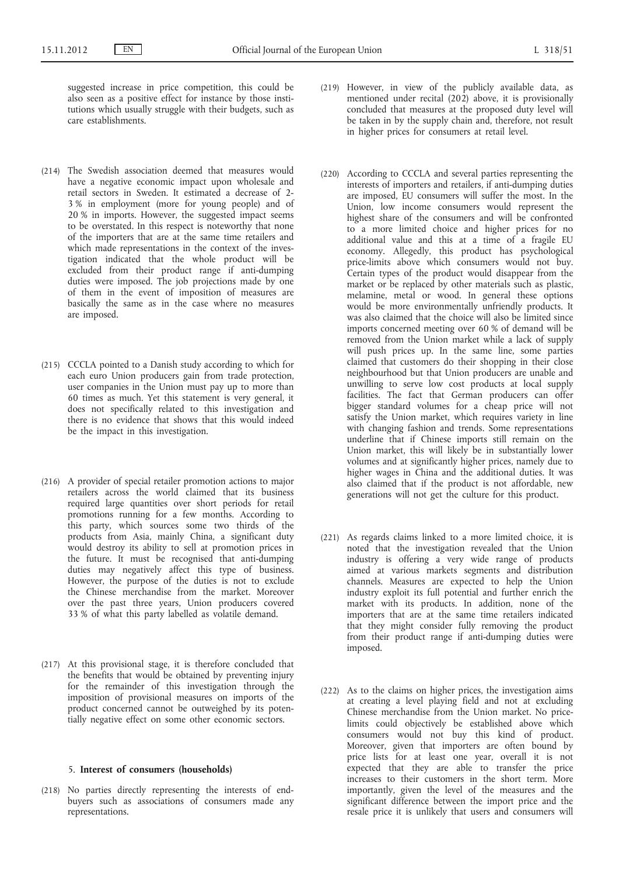suggested increase in price competition, this could be also seen as a positive effect for instance by those institutions which usually struggle with their budgets, such as care establishments.

- (214) The Swedish association deemed that measures would have a negative economic impact upon wholesale and retail sectors in Sweden. It estimated a decrease of 2- 3 % in employment (more for young people) and of 20 % in imports. However, the suggested impact seems to be overstated. In this respect is noteworthy that none of the importers that are at the same time retailers and which made representations in the context of the investigation indicated that the whole product will be excluded from their product range if anti-dumping duties were imposed. The job projections made by one of them in the event of imposition of measures are basically the same as in the case where no measures are imposed.
- (215) CCCLA pointed to a Danish study according to which for each euro Union producers gain from trade protection, user companies in the Union must pay up to more than 60 times as much. Yet this statement is very general, it does not specifically related to this investigation and there is no evidence that shows that this would indeed be the impact in this investigation.
- (216) A provider of special retailer promotion actions to major retailers across the world claimed that its business required large quantities over short periods for retail promotions running for a few months. According to this party, which sources some two thirds of the products from Asia, mainly China, a significant duty would destroy its ability to sell at promotion prices in the future. It must be recognised that anti-dumping duties may negatively affect this type of business. However, the purpose of the duties is not to exclude the Chinese merchandise from the market. Moreover over the past three years, Union producers covered 33 % of what this party labelled as volatile demand.
- (217) At this provisional stage, it is therefore concluded that the benefits that would be obtained by preventing injury for the remainder of this investigation through the imposition of provisional measures on imports of the product concerned cannot be outweighed by its potentially negative effect on some other economic sectors.

### 5. **Interest of consumers (households)**

(218) No parties directly representing the interests of endbuyers such as associations of consumers made any representations.

- (219) However, in view of the publicly available data, as mentioned under recital (202) above, it is provisionally concluded that measures at the proposed duty level will be taken in by the supply chain and, therefore, not result in higher prices for consumers at retail level.
- (220) According to CCCLA and several parties representing the interests of importers and retailers, if anti-dumping duties are imposed, EU consumers will suffer the most. In the Union, low income consumers would represent the highest share of the consumers and will be confronted to a more limited choice and higher prices for no additional value and this at a time of a fragile EU economy. Allegedly, this product has psychological price-limits above which consumers would not buy. Certain types of the product would disappear from the market or be replaced by other materials such as plastic, melamine, metal or wood. In general these options would be more environmentally unfriendly products. It was also claimed that the choice will also be limited since imports concerned meeting over 60 % of demand will be removed from the Union market while a lack of supply will push prices up. In the same line, some parties claimed that customers do their shopping in their close neighbourhood but that Union producers are unable and unwilling to serve low cost products at local supply facilities. The fact that German producers can offer bigger standard volumes for a cheap price will not satisfy the Union market, which requires variety in line with changing fashion and trends. Some representations underline that if Chinese imports still remain on the Union market, this will likely be in substantially lower volumes and at significantly higher prices, namely due to higher wages in China and the additional duties. It was also claimed that if the product is not affordable, new generations will not get the culture for this product.
- (221) As regards claims linked to a more limited choice, it is noted that the investigation revealed that the Union industry is offering a very wide range of products aimed at various markets segments and distribution channels. Measures are expected to help the Union industry exploit its full potential and further enrich the market with its products. In addition, none of the importers that are at the same time retailers indicated that they might consider fully removing the product from their product range if anti-dumping duties were imposed.
- (222) As to the claims on higher prices, the investigation aims at creating a level playing field and not at excluding Chinese merchandise from the Union market. No pricelimits could objectively be established above which consumers would not buy this kind of product. Moreover, given that importers are often bound by price lists for at least one year, overall it is not expected that they are able to transfer the price increases to their customers in the short term. More importantly, given the level of the measures and the significant difference between the import price and the resale price it is unlikely that users and consumers will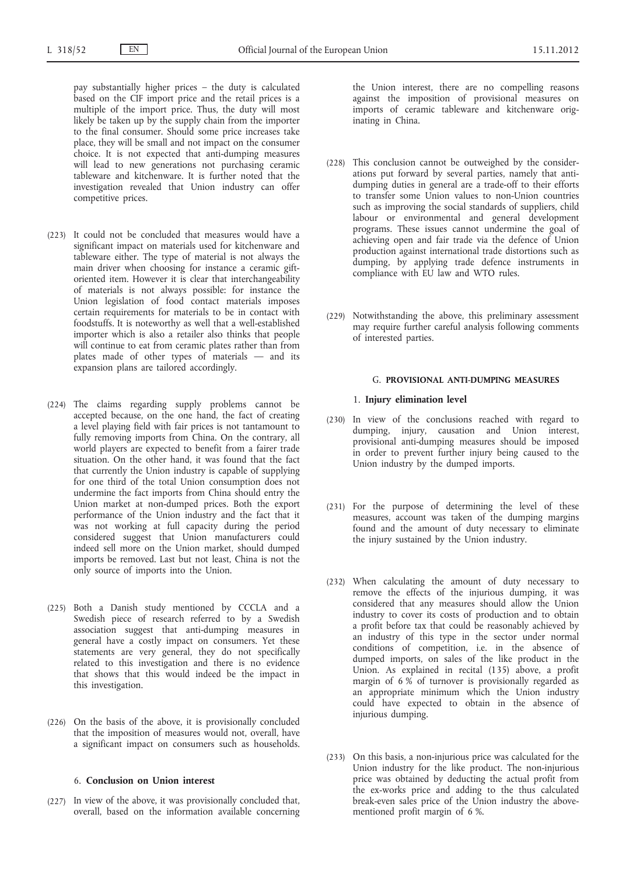pay substantially higher prices – the duty is calculated based on the CIF import price and the retail prices is a multiple of the import price. Thus, the duty will most likely be taken up by the supply chain from the importer to the final consumer. Should some price increases take place, they will be small and not impact on the consumer choice. It is not expected that anti-dumping measures will lead to new generations not purchasing ceramic tableware and kitchenware. It is further noted that the investigation revealed that Union industry can offer competitive prices.

- (223) It could not be concluded that measures would have a significant impact on materials used for kitchenware and tableware either. The type of material is not always the main driver when choosing for instance a ceramic giftoriented item. However it is clear that interchangeability of materials is not always possible: for instance the Union legislation of food contact materials imposes certain requirements for materials to be in contact with foodstuffs. It is noteworthy as well that a well-established importer which is also a retailer also thinks that people will continue to eat from ceramic plates rather than from plates made of other types of materials — and its expansion plans are tailored accordingly.
- (224) The claims regarding supply problems cannot be accepted because, on the one hand, the fact of creating a level playing field with fair prices is not tantamount to fully removing imports from China. On the contrary, all world players are expected to benefit from a fairer trade situation. On the other hand, it was found that the fact that currently the Union industry is capable of supplying for one third of the total Union consumption does not undermine the fact imports from China should entry the Union market at non-dumped prices. Both the export performance of the Union industry and the fact that it was not working at full capacity during the period considered suggest that Union manufacturers could indeed sell more on the Union market, should dumped imports be removed. Last but not least, China is not the only source of imports into the Union.
- (225) Both a Danish study mentioned by CCCLA and a Swedish piece of research referred to by a Swedish association suggest that anti-dumping measures in general have a costly impact on consumers. Yet these statements are very general, they do not specifically related to this investigation and there is no evidence that shows that this would indeed be the impact in this investigation.
- (226) On the basis of the above, it is provisionally concluded that the imposition of measures would not, overall, have a significant impact on consumers such as households.

# 6. **Conclusion on Union interest**

(227) In view of the above, it was provisionally concluded that, overall, based on the information available concerning the Union interest, there are no compelling reasons against the imposition of provisional measures on imports of ceramic tableware and kitchenware originating in China.

- (228) This conclusion cannot be outweighed by the considerations put forward by several parties, namely that antidumping duties in general are a trade-off to their efforts to transfer some Union values to non-Union countries such as improving the social standards of suppliers, child labour or environmental and general development programs. These issues cannot undermine the goal of achieving open and fair trade via the defence of Union production against international trade distortions such as dumping, by applying trade defence instruments in compliance with EU law and WTO rules.
- (229) Notwithstanding the above, this preliminary assessment may require further careful analysis following comments of interested parties.

# G. **PROVISIONAL ANTI-DUMPING MEASURES**

#### 1. **Injury elimination level**

- (230) In view of the conclusions reached with regard to dumping, injury, causation and Union interest, provisional anti-dumping measures should be imposed in order to prevent further injury being caused to the Union industry by the dumped imports.
- (231) For the purpose of determining the level of these measures, account was taken of the dumping margins found and the amount of duty necessary to eliminate the injury sustained by the Union industry.
- (232) When calculating the amount of duty necessary to remove the effects of the injurious dumping, it was considered that any measures should allow the Union industry to cover its costs of production and to obtain a profit before tax that could be reasonably achieved by an industry of this type in the sector under normal conditions of competition, i.e. in the absence of dumped imports, on sales of the like product in the Union. As explained in recital (135) above, a profit margin of  $6\%$  of turnover is provisionally regarded as an appropriate minimum which the Union industry could have expected to obtain in the absence of injurious dumping.
- (233) On this basis, a non-injurious price was calculated for the Union industry for the like product. The non-injurious price was obtained by deducting the actual profit from the ex-works price and adding to the thus calculated break-even sales price of the Union industry the abovementioned profit margin of 6 %.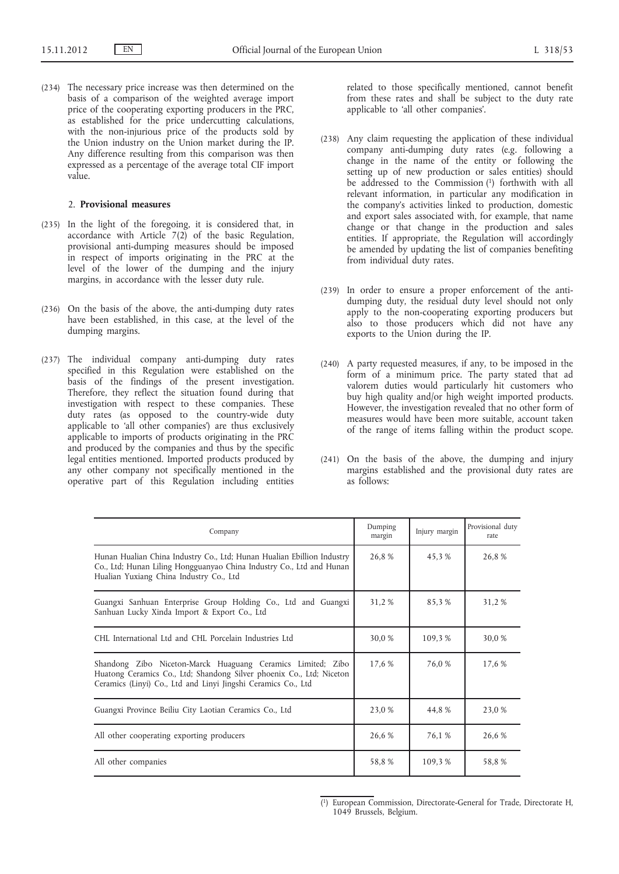(234) The necessary price increase was then determined on the basis of a comparison of the weighted average import price of the cooperating exporting producers in the PRC, as established for the price undercutting calculations, with the non-injurious price of the products sold by the Union industry on the Union market during the IP. Any difference resulting from this comparison was then expressed as a percentage of the average total CIF import  $v$ a $\bar{l}$ 110

#### 2. **Provisional measures**

- (235) In the light of the foregoing, it is considered that, in accordance with Article 7(2) of the basic Regulation, provisional anti-dumping measures should be imposed in respect of imports originating in the PRC at the level of the lower of the dumping and the injury margins, in accordance with the lesser duty rule.
- (236) On the basis of the above, the anti-dumping duty rates have been established, in this case, at the level of the dumping margins.
- (237) The individual company anti-dumping duty rates specified in this Regulation were established on the basis of the findings of the present investigation. Therefore, they reflect the situation found during that investigation with respect to these companies. These duty rates (as opposed to the country-wide duty applicable to 'all other companies') are thus exclusively applicable to imports of products originating in the PRC and produced by the companies and thus by the specific legal entities mentioned. Imported products produced by any other company not specifically mentioned in the operative part of this Regulation including entities

related to those specifically mentioned, cannot benefit from these rates and shall be subject to the duty rate applicable to 'all other companies'.

- (238) Any claim requesting the application of these individual company anti-dumping duty rates (e.g. following a change in the name of the entity or following the setting up of new production or sales entities) should be addressed to the Commission<sup>(1)</sup> forthwith with all relevant information, in particular any modification in the company's activities linked to production, domestic and export sales associated with, for example, that name change or that change in the production and sales entities. If appropriate, the Regulation will accordingly be amended by updating the list of companies benefiting from individual duty rates.
- (239) In order to ensure a proper enforcement of the antidumping duty, the residual duty level should not only apply to the non-cooperating exporting producers but also to those producers which did not have any exports to the Union during the IP.
- (240) A party requested measures, if any, to be imposed in the form of a minimum price. The party stated that ad valorem duties would particularly hit customers who buy high quality and/or high weight imported products. However, the investigation revealed that no other form of measures would have been more suitable, account taken of the range of items falling within the product scope.
- (241) On the basis of the above, the dumping and injury margins established and the provisional duty rates are as follows:

| Company                                                                                                                                                                                              | Dumping<br>margin | Injury margin | Provisional duty<br>rate |
|------------------------------------------------------------------------------------------------------------------------------------------------------------------------------------------------------|-------------------|---------------|--------------------------|
| Hunan Hualian China Industry Co., Ltd; Hunan Hualian Ebillion Industry<br>Co., Ltd; Hunan Liling Hongguanyao China Industry Co., Ltd and Hunan<br>Hualian Yuxiang China Industry Co., Ltd            | 26,8%             | 45,3 %        | 26,8%                    |
| Guangxi Sanhuan Enterprise Group Holding Co., Ltd and Guangxi<br>Sanhuan Lucky Xinda Import & Export Co., Ltd                                                                                        | 31,2 %            | 85,3%         | 31,2 %                   |
| CHL International Ltd and CHL Porcelain Industries Ltd                                                                                                                                               | 30,0 %            | 109,3%        | 30,0 %                   |
| Shandong Zibo Niceton-Marck Huaguang Ceramics Limited; Zibo<br>Huatong Ceramics Co., Ltd; Shandong Silver phoenix Co., Ltd; Niceton<br>Ceramics (Linyi) Co., Ltd and Linyi Jingshi Ceramics Co., Ltd | 17,6 %            | 76,0 %        | 17,6 %                   |
| Guangxi Province Beiliu City Laotian Ceramics Co., Ltd                                                                                                                                               | 23,0 %            | 44,8 %        | 23,0 %                   |
| All other cooperating exporting producers                                                                                                                                                            | 26,6 %            | 76,1 %        | 26,6 %                   |
| All other companies                                                                                                                                                                                  | 58,8%             | 109.3 %       | 58,8%                    |

<sup>(</sup> 1) European Commission, Directorate-General for Trade, Directorate H, 1049 Brussels, Belgium.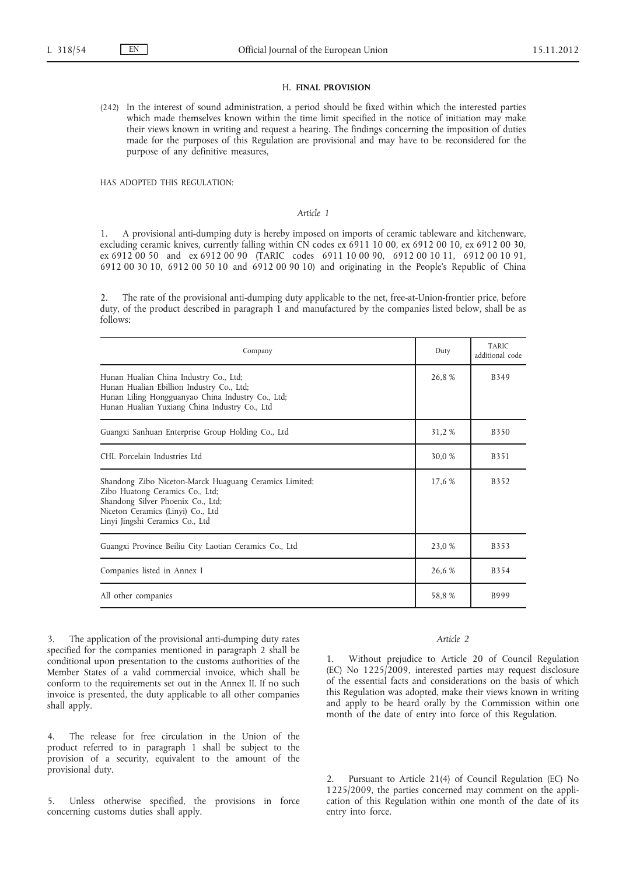### H. **FINAL PROVISION**

(242) In the interest of sound administration, a period should be fixed within which the interested parties which made themselves known within the time limit specified in the notice of initiation may make their views known in writing and request a hearing. The findings concerning the imposition of duties made for the purposes of this Regulation are provisional and may have to be reconsidered for the purpose of any definitive measures,

HAS ADOPTED THIS REGULATION:

#### *Article 1*

1. A provisional anti-dumping duty is hereby imposed on imports of ceramic tableware and kitchenware, excluding ceramic knives, currently falling within CN codes ex 6911 10 00, ex 6912 00 10, ex 6912 00 30, ex 6912 00 50 and ex 6912 00 90 (TARIC codes 6911 10 00 90, 6912 00 10 11, 6912 00 10 91, 6912 00 30 10, 6912 00 50 10 and 6912 00 90 10) and originating in the People's Republic of China

2. The rate of the provisional anti-dumping duty applicable to the net, free-at-Union-frontier price, before duty, of the product described in paragraph 1 and manufactured by the companies listed below, shall be as follows:

| Company                                                                                                                                                                                                | Duty   | <b>TARIC</b><br>additional code |
|--------------------------------------------------------------------------------------------------------------------------------------------------------------------------------------------------------|--------|---------------------------------|
| Hunan Hualian China Industry Co., Ltd;<br>Hunan Hualian Ebillion Industry Co., Ltd;<br>Hunan Liling Hongguanyao China Industry Co., Ltd;<br>Hunan Hualian Yuxiang China Industry Co., Ltd              | 26,8%  | B349                            |
| Guangxi Sanhuan Enterprise Group Holding Co., Ltd                                                                                                                                                      | 31,2 % | <b>B350</b>                     |
| CHL Porcelain Industries Ltd                                                                                                                                                                           | 30,0 % | B351                            |
| Shandong Zibo Niceton-Marck Huaguang Ceramics Limited;<br>Zibo Huatong Ceramics Co., Ltd;<br>Shandong Silver Phoenix Co., Ltd;<br>Niceton Ceramics (Linyi) Co., Ltd<br>Linyi Jingshi Ceramics Co., Ltd | 17,6 % | <b>B352</b>                     |
| Guangxi Province Beiliu City Laotian Ceramics Co., Ltd                                                                                                                                                 | 23,0 % | B353                            |
| Companies listed in Annex I                                                                                                                                                                            | 26,6 % | B354                            |
| All other companies                                                                                                                                                                                    | 58,8%  | B999                            |

3. The application of the provisional anti-dumping duty rates specified for the companies mentioned in paragraph 2 shall be conditional upon presentation to the customs authorities of the Member States of a valid commercial invoice, which shall be conform to the requirements set out in the Annex II. If no such invoice is presented, the duty applicable to all other companies shall apply.

4. The release for free circulation in the Union of the product referred to in paragraph 1 shall be subject to the provision of a security, equivalent to the amount of the provisional duty.

5. Unless otherwise specified, the provisions in force concerning customs duties shall apply.

# *Article 2*

1. Without prejudice to Article 20 of Council Regulation (EC) No 1225/2009, interested parties may request disclosure of the essential facts and considerations on the basis of which this Regulation was adopted, make their views known in writing and apply to be heard orally by the Commission within one month of the date of entry into force of this Regulation.

Pursuant to Article 21(4) of Council Regulation (EC) No 1225/2009, the parties concerned may comment on the application of this Regulation within one month of the date of its entry into force.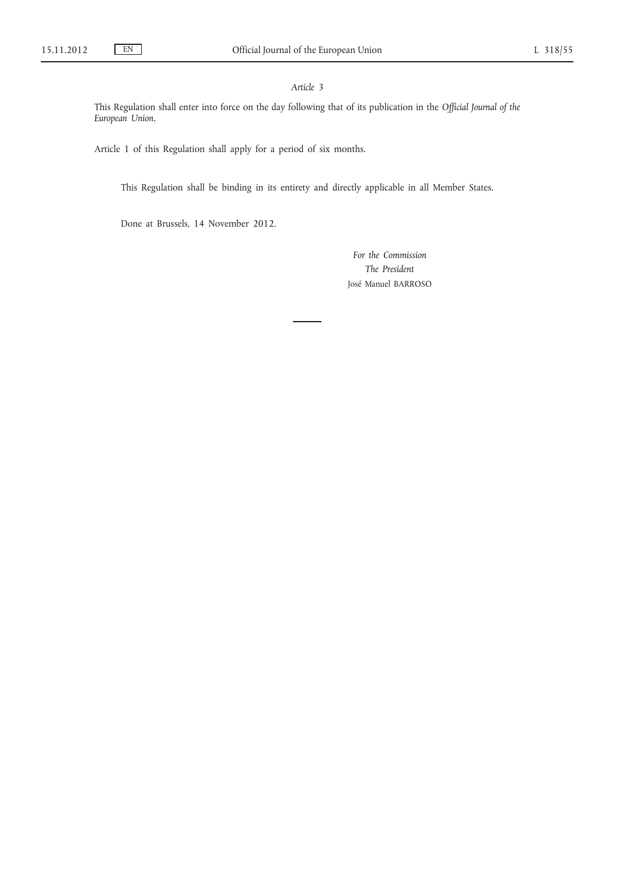# *Article 3*

This Regulation shall enter into force on the day following that of its publication in the *Official Journal of the European Union*.

Article 1 of this Regulation shall apply for a period of six months.

This Regulation shall be binding in its entirety and directly applicable in all Member States.

Done at Brussels, 14 November 2012.

*For the Commission The President* José Manuel BARROSO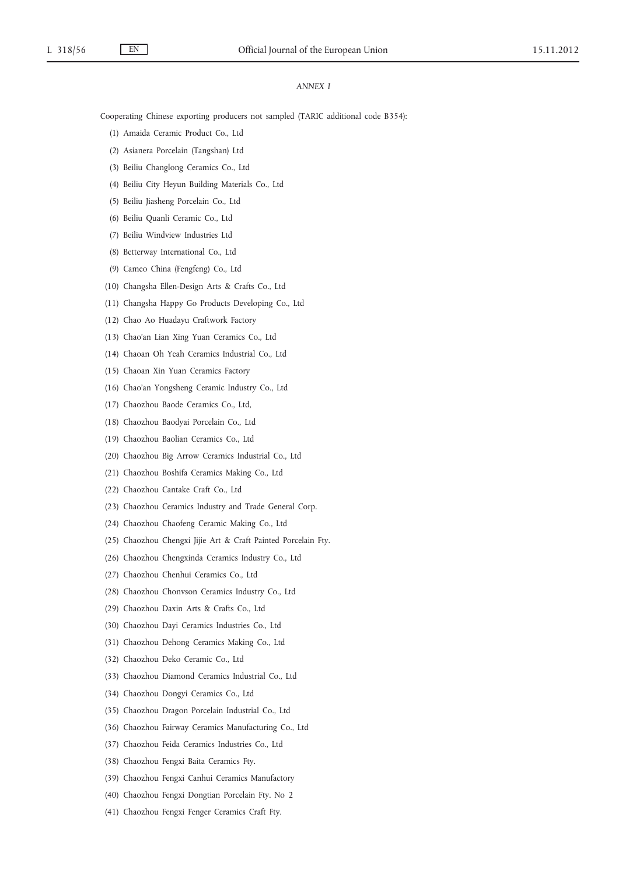# *ANNEX I*

Cooperating Chinese exporting producers not sampled (TARIC additional code B354):

- (1) Amaida Ceramic Product Co., Ltd
- (2) Asianera Porcelain (Tangshan) Ltd
- (3) Beiliu Changlong Ceramics Co., Ltd
- (4) Beiliu City Heyun Building Materials Co., Ltd
- (5) Beiliu Jiasheng Porcelain Co., Ltd
- (6) Beiliu Quanli Ceramic Co., Ltd
- (7) Beiliu Windview Industries Ltd
- (8) Betterway International Co., Ltd
- (9) Cameo China (Fengfeng) Co., Ltd
- (10) Changsha Ellen-Design Arts & Crafts Co., Ltd
- (11) Changsha Happy Go Products Developing Co., Ltd
- (12) Chao Ao Huadayu Craftwork Factory
- (13) Chao'an Lian Xing Yuan Ceramics Co., Ltd
- (14) Chaoan Oh Yeah Ceramics Industrial Co., Ltd
- (15) Chaoan Xin Yuan Ceramics Factory
- (16) Chao'an Yongsheng Ceramic Industry Co., Ltd
- (17) Chaozhou Baode Ceramics Co., Ltd,
- (18) Chaozhou Baodyai Porcelain Co., Ltd
- (19) Chaozhou Baolian Ceramics Co., Ltd
- (20) Chaozhou Big Arrow Ceramics Industrial Co., Ltd
- (21) Chaozhou Boshifa Ceramics Making Co., Ltd
- (22) Chaozhou Cantake Craft Co., Ltd
- (23) Chaozhou Ceramics Industry and Trade General Corp.
- (24) Chaozhou Chaofeng Ceramic Making Co., Ltd
- (25) Chaozhou Chengxi Jijie Art & Craft Painted Porcelain Fty.
- (26) Chaozhou Chengxinda Ceramics Industry Co., Ltd
- (27) Chaozhou Chenhui Ceramics Co., Ltd
- (28) Chaozhou Chonvson Ceramics Industry Co., Ltd
- (29) Chaozhou Daxin Arts & Crafts Co., Ltd
- (30) Chaozhou Dayi Ceramics Industries Co., Ltd
- (31) Chaozhou Dehong Ceramics Making Co., Ltd
- (32) Chaozhou Deko Ceramic Co., Ltd
- (33) Chaozhou Diamond Ceramics Industrial Co., Ltd
- (34) Chaozhou Dongyi Ceramics Co., Ltd
- (35) Chaozhou Dragon Porcelain Industrial Co., Ltd
- (36) Chaozhou Fairway Ceramics Manufacturing Co., Ltd
- (37) Chaozhou Feida Ceramics Industries Co., Ltd
- (38) Chaozhou Fengxi Baita Ceramics Fty.
- (39) Chaozhou Fengxi Canhui Ceramics Manufactory
- (40) Chaozhou Fengxi Dongtian Porcelain Fty. No 2
- (41) Chaozhou Fengxi Fenger Ceramics Craft Fty.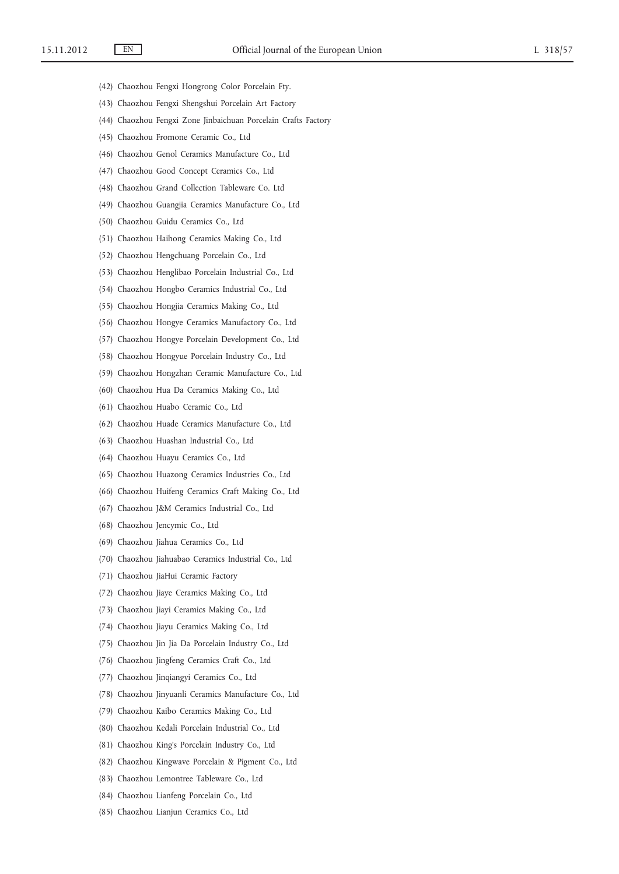- (42) Chaozhou Fengxi Hongrong Color Porcelain Fty.
- (43) Chaozhou Fengxi Shengshui Porcelain Art Factory
- (44) Chaozhou Fengxi Zone Jinbaichuan Porcelain Crafts Factory
- (45) Chaozhou Fromone Ceramic Co., Ltd
- (46) Chaozhou Genol Ceramics Manufacture Co., Ltd
- (47) Chaozhou Good Concept Ceramics Co., Ltd
- (48) Chaozhou Grand Collection Tableware Co. Ltd
- (49) Chaozhou Guangjia Ceramics Manufacture Co., Ltd
- (50) Chaozhou Guidu Ceramics Co., Ltd
- (51) Chaozhou Haihong Ceramics Making Co., Ltd
- (52) Chaozhou Hengchuang Porcelain Co., Ltd
- (53) Chaozhou Henglibao Porcelain Industrial Co., Ltd
- (54) Chaozhou Hongbo Ceramics Industrial Co., Ltd
- (55) Chaozhou Hongjia Ceramics Making Co., Ltd
- (56) Chaozhou Hongye Ceramics Manufactory Co., Ltd
- (57) Chaozhou Hongye Porcelain Development Co., Ltd
- (58) Chaozhou Hongyue Porcelain Industry Co., Ltd
- (59) Chaozhou Hongzhan Ceramic Manufacture Co., Ltd
- (60) Chaozhou Hua Da Ceramics Making Co., Ltd
- (61) Chaozhou Huabo Ceramic Co., Ltd
- (62) Chaozhou Huade Ceramics Manufacture Co., Ltd
- (63) Chaozhou Huashan Industrial Co., Ltd
- (64) Chaozhou Huayu Ceramics Co., Ltd
- (65) Chaozhou Huazong Ceramics Industries Co., Ltd
- (66) Chaozhou Huifeng Ceramics Craft Making Co., Ltd
- (67) Chaozhou J&M Ceramics Industrial Co., Ltd
- (68) Chaozhou Jencymic Co., Ltd
- (69) Chaozhou Jiahua Ceramics Co., Ltd
- (70) Chaozhou Jiahuabao Ceramics Industrial Co., Ltd
- (71) Chaozhou JiaHui Ceramic Factory
- (72) Chaozhou Jiaye Ceramics Making Co., Ltd
- (73) Chaozhou Jiayi Ceramics Making Co., Ltd
- (74) Chaozhou Jiayu Ceramics Making Co., Ltd
- (75) Chaozhou Jin Jia Da Porcelain Industry Co., Ltd
- (76) Chaozhou Jingfeng Ceramics Craft Co., Ltd
- (77) Chaozhou Jinqiangyi Ceramics Co., Ltd
- (78) Chaozhou Jinyuanli Ceramics Manufacture Co., Ltd
- (79) Chaozhou Kaibo Ceramics Making Co., Ltd
- (80) Chaozhou Kedali Porcelain Industrial Co., Ltd
- (81) Chaozhou King's Porcelain Industry Co., Ltd
- (82) Chaozhou Kingwave Porcelain & Pigment Co., Ltd
- (83) Chaozhou Lemontree Tableware Co., Ltd
- (84) Chaozhou Lianfeng Porcelain Co., Ltd
- (85) Chaozhou Lianjun Ceramics Co., Ltd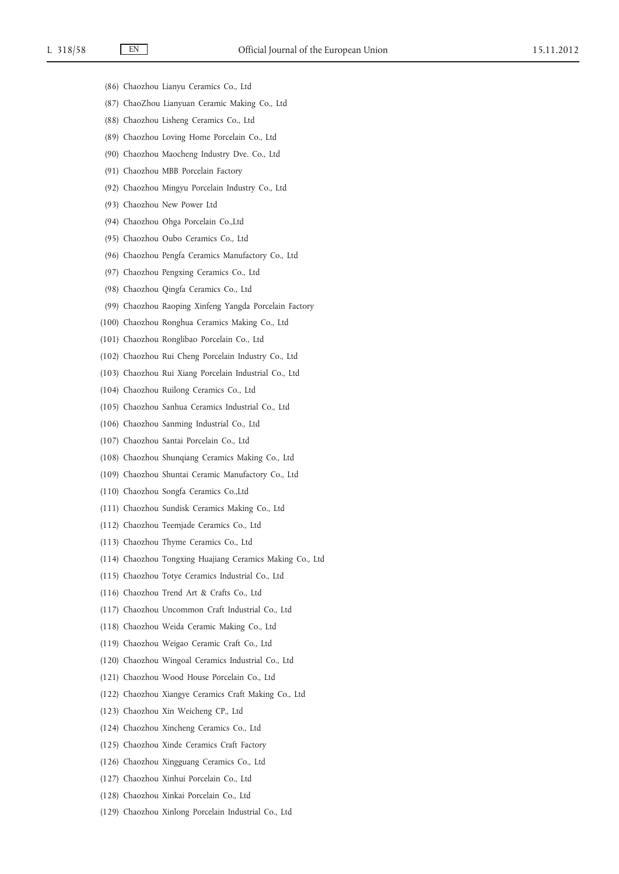- (86) Chaozhou Lianyu Ceramics Co., Ltd
- (87) ChaoZhou Lianyuan Ceramic Making Co., Ltd
- (88) Chaozhou Lisheng Ceramics Co., Ltd
- (89) Chaozhou Loving Home Porcelain Co., Ltd
- (90) Chaozhou Maocheng Industry Dve. Co., Ltd
- (91) Chaozhou MBB Porcelain Factory
- (92) Chaozhou Mingyu Porcelain Industry Co., Ltd
- (93) Chaozhou New Power Ltd
- (94) Chaozhou Ohga Porcelain Co.,Ltd
- (95) Chaozhou Oubo Ceramics Co., Ltd
- (96) Chaozhou Pengfa Ceramics Manufactory Co., Ltd
- (97) Chaozhou Pengxing Ceramics Co., Ltd
- (98) Chaozhou Qingfa Ceramics Co., Ltd
- (99) Chaozhou Raoping Xinfeng Yangda Porcelain Factory
- (100) Chaozhou Ronghua Ceramics Making Co., Ltd
- (101) Chaozhou Ronglibao Porcelain Co., Ltd
- (102) Chaozhou Rui Cheng Porcelain Industry Co., Ltd
- (103) Chaozhou Rui Xiang Porcelain Industrial Co., Ltd
- (104) Chaozhou Ruilong Ceramics Co., Ltd
- (105) Chaozhou Sanhua Ceramics Industrial Co., Ltd
- (106) Chaozhou Sanming Industrial Co., Ltd
- (107) Chaozhou Santai Porcelain Co., Ltd
- (108) Chaozhou Shunqiang Ceramics Making Co., Ltd
- (109) Chaozhou Shuntai Ceramic Manufactory Co., Ltd
- (110) Chaozhou Songfa Ceramics Co.,Ltd
- (111) Chaozhou Sundisk Ceramics Making Co., Ltd
- (112) Chaozhou Teemjade Ceramics Co., Ltd
- (113) Chaozhou Thyme Ceramics Co., Ltd
- (114) Chaozhou Tongxing Huajiang Ceramics Making Co., Ltd
- (115) Chaozhou Totye Ceramics Industrial Co., Ltd
- (116) Chaozhou Trend Art & Crafts Co., Ltd
- (117) Chaozhou Uncommon Craft Industrial Co., Ltd
- (118) Chaozhou Weida Ceramic Making Co., Ltd
- (119) Chaozhou Weigao Ceramic Craft Co., Ltd
- (120) Chaozhou Wingoal Ceramics Industrial Co., Ltd
- (121) Chaozhou Wood House Porcelain Co., Ltd
- (122) Chaozhou Xiangye Ceramics Craft Making Co., Ltd
- (123) Chaozhou Xin Weicheng CP., Ltd
- (124) Chaozhou Xincheng Ceramics Co., Ltd
- (125) Chaozhou Xinde Ceramics Craft Factory
- (126) Chaozhou Xingguang Ceramics Co., Ltd
- (127) Chaozhou Xinhui Porcelain Co., Ltd
- (128) Chaozhou Xinkai Porcelain Co., Ltd
- (129) Chaozhou Xinlong Porcelain Industrial Co., Ltd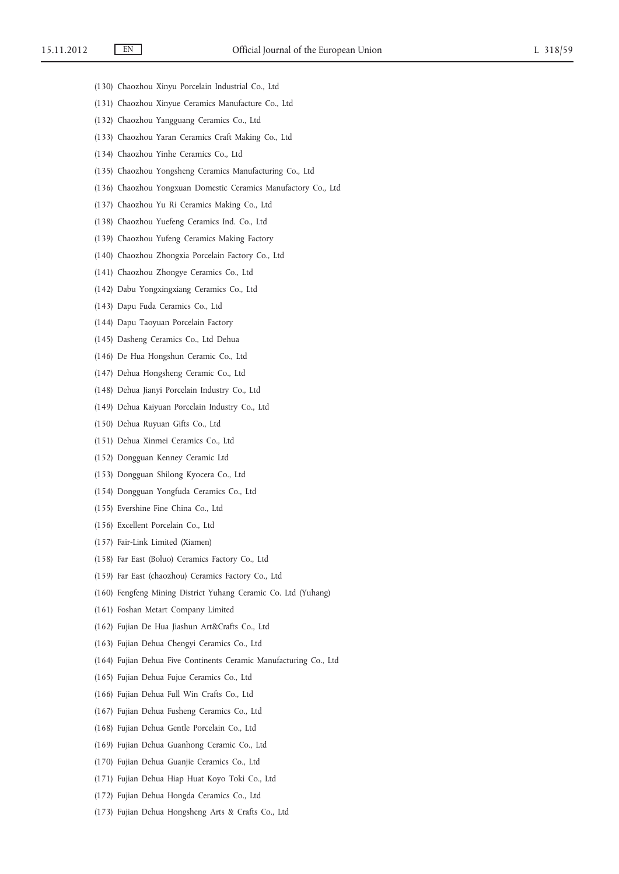- (130) Chaozhou Xinyu Porcelain Industrial Co., Ltd
- (131) Chaozhou Xinyue Ceramics Manufacture Co., Ltd
- (132) Chaozhou Yangguang Ceramics Co., Ltd
- (133) Chaozhou Yaran Ceramics Craft Making Co., Ltd
- (134) Chaozhou Yinhe Ceramics Co., Ltd
- (135) Chaozhou Yongsheng Ceramics Manufacturing Co., Ltd
- (136) Chaozhou Yongxuan Domestic Ceramics Manufactory Co., Ltd
- (137) Chaozhou Yu Ri Ceramics Making Co., Ltd
- (138) Chaozhou Yuefeng Ceramics Ind. Co., Ltd
- (139) Chaozhou Yufeng Ceramics Making Factory
- (140) Chaozhou Zhongxia Porcelain Factory Co., Ltd
- (141) Chaozhou Zhongye Ceramics Co., Ltd
- (142) Dabu Yongxingxiang Ceramics Co., Ltd
- (143) Dapu Fuda Ceramics Co., Ltd
- (144) Dapu Taoyuan Porcelain Factory
- (145) Dasheng Ceramics Co., Ltd Dehua
- (146) De Hua Hongshun Ceramic Co., Ltd
- (147) Dehua Hongsheng Ceramic Co., Ltd
- (148) Dehua Jianyi Porcelain Industry Co., Ltd
- (149) Dehua Kaiyuan Porcelain Industry Co., Ltd
- (150) Dehua Ruyuan Gifts Co., Ltd
- (151) Dehua Xinmei Ceramics Co., Ltd
- (152) Dongguan Kenney Ceramic Ltd
- (153) Dongguan Shilong Kyocera Co., Ltd
- (154) Dongguan Yongfuda Ceramics Co., Ltd
- (155) Evershine Fine China Co., Ltd
- (156) Excellent Porcelain Co., Ltd
- (157) Fair-Link Limited (Xiamen)
- (158) Far East (Boluo) Ceramics Factory Co., Ltd
- (159) Far East (chaozhou) Ceramics Factory Co., Ltd
- (160) Fengfeng Mining District Yuhang Ceramic Co. Ltd (Yuhang)
- (161) Foshan Metart Company Limited
- (162) Fujian De Hua Jiashun Art&Crafts Co., Ltd
- (163) Fujian Dehua Chengyi Ceramics Co., Ltd
- (164) Fujian Dehua Five Continents Ceramic Manufacturing Co., Ltd
- (165) Fujian Dehua Fujue Ceramics Co., Ltd
- (166) Fujian Dehua Full Win Crafts Co., Ltd
- (167) Fujian Dehua Fusheng Ceramics Co., Ltd
- (168) Fujian Dehua Gentle Porcelain Co., Ltd
- (169) Fujian Dehua Guanhong Ceramic Co., Ltd
- (170) Fujian Dehua Guanjie Ceramics Co., Ltd
- (171) Fujian Dehua Hiap Huat Koyo Toki Co., Ltd
- (172) Fujian Dehua Hongda Ceramics Co., Ltd
- (173) Fujian Dehua Hongsheng Arts & Crafts Co., Ltd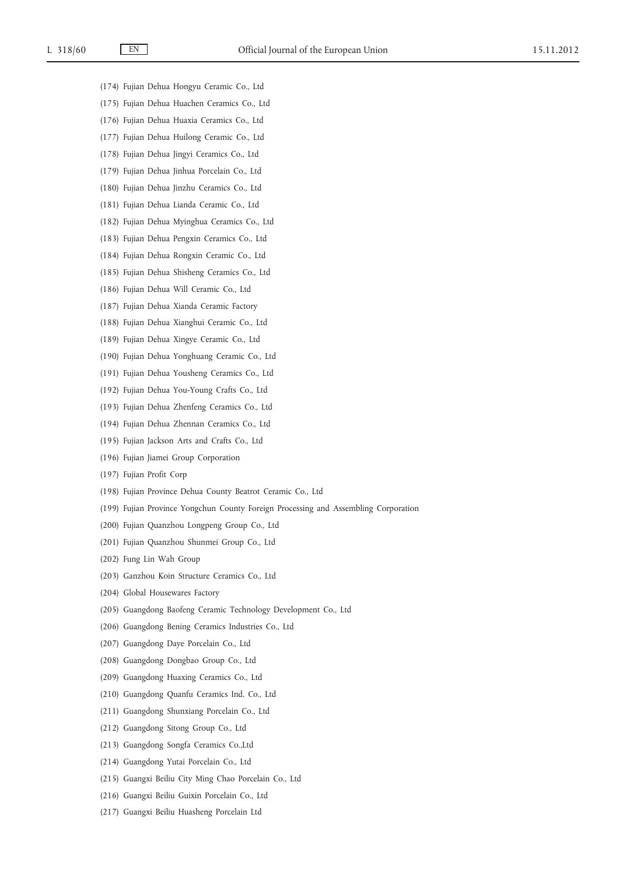- (174) Fujian Dehua Hongyu Ceramic Co., Ltd
- (175) Fujian Dehua Huachen Ceramics Co., Ltd
- (176) Fujian Dehua Huaxia Ceramics Co., Ltd
- (177) Fujian Dehua Huilong Ceramic Co., Ltd
- (178) Fujian Dehua Jingyi Ceramics Co., Ltd
- (179) Fujian Dehua Jinhua Porcelain Co., Ltd
- (180) Fujian Dehua Jinzhu Ceramics Co., Ltd
- (181) Fujian Dehua Lianda Ceramic Co., Ltd
- (182) Fujian Dehua Myinghua Ceramics Co., Ltd
- (183) Fujian Dehua Pengxin Ceramics Co., Ltd
- (184) Fujian Dehua Rongxin Ceramic Co., Ltd
- (185) Fujian Dehua Shisheng Ceramics Co., Ltd
- (186) Fujian Dehua Will Ceramic Co., Ltd
- (187) Fujian Dehua Xianda Ceramic Factory
- (188) Fujian Dehua Xianghui Ceramic Co., Ltd
- (189) Fujian Dehua Xingye Ceramic Co., Ltd
- (190) Fujian Dehua Yonghuang Ceramic Co., Ltd
- (191) Fujian Dehua Yousheng Ceramics Co., Ltd
- (192) Fujian Dehua You-Young Crafts Co., Ltd
- (193) Fujian Dehua Zhenfeng Ceramics Co., Ltd
- (194) Fujian Dehua Zhennan Ceramics Co., Ltd
- (195) Fujian Jackson Arts and Crafts Co., Ltd
- (196) Fujian Jiamei Group Corporation
- (197) Fujian Profit Corp
- (198) Fujian Province Dehua County Beatrot Ceramic Co., Ltd
- (199) Fujian Province Yongchun County Foreign Processing and Assembling Corporation
- (200) Fujian Quanzhou Longpeng Group Co., Ltd
- (201) Fujian Quanzhou Shunmei Group Co., Ltd
- (202) Fung Lin Wah Group
- (203) Ganzhou Koin Structure Ceramics Co., Ltd
- (204) Global Housewares Factory
- (205) Guangdong Baofeng Ceramic Technology Development Co., Ltd
- (206) Guangdong Bening Ceramics Industries Co., Ltd
- (207) Guangdong Daye Porcelain Co., Ltd
- (208) Guangdong Dongbao Group Co., Ltd
- (209) Guangdong Huaxing Ceramics Co., Ltd
- (210) Guangdong Quanfu Ceramics Ind. Co., Ltd
- (211) Guangdong Shunxiang Porcelain Co., Ltd
- (212) Guangdong Sitong Group Co., Ltd
- (213) Guangdong Songfa Ceramics Co.,Ltd
- (214) Guangdong Yutai Porcelain Co., Ltd
- (215) Guangxi Beiliu City Ming Chao Porcelain Co., Ltd
- (216) Guangxi Beiliu Guixin Porcelain Co., Ltd
- (217) Guangxi Beiliu Huasheng Porcelain Ltd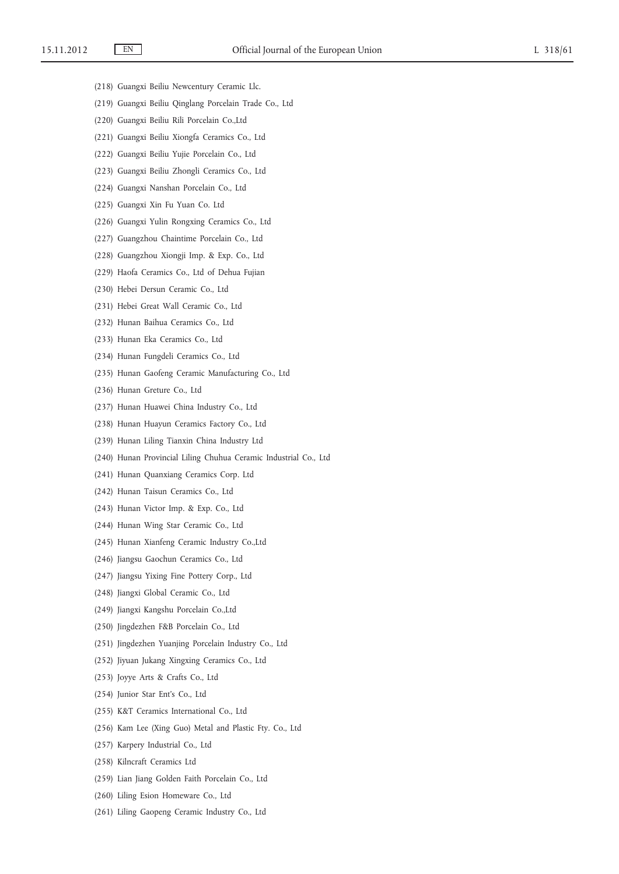- (218) Guangxi Beiliu Newcentury Ceramic Llc.
- (219) Guangxi Beiliu Qinglang Porcelain Trade Co., Ltd
- (220) Guangxi Beiliu Rili Porcelain Co.,Ltd
- (221) Guangxi Beiliu Xiongfa Ceramics Co., Ltd
- (222) Guangxi Beiliu Yujie Porcelain Co., Ltd
- (223) Guangxi Beiliu Zhongli Ceramics Co., Ltd
- (224) Guangxi Nanshan Porcelain Co., Ltd
- (225) Guangxi Xin Fu Yuan Co. Ltd
- (226) Guangxi Yulin Rongxing Ceramics Co., Ltd
- (227) Guangzhou Chaintime Porcelain Co., Ltd
- (228) Guangzhou Xiongji Imp. & Exp. Co., Ltd
- (229) Haofa Ceramics Co., Ltd of Dehua Fujian
- (230) Hebei Dersun Ceramic Co., Ltd
- (231) Hebei Great Wall Ceramic Co., Ltd
- (232) Hunan Baihua Ceramics Co., Ltd
- (233) Hunan Eka Ceramics Co., Ltd
- (234) Hunan Fungdeli Ceramics Co., Ltd
- (235) Hunan Gaofeng Ceramic Manufacturing Co., Ltd
- (236) Hunan Greture Co., Ltd
- (237) Hunan Huawei China Industry Co., Ltd
- (238) Hunan Huayun Ceramics Factory Co., Ltd
- (239) Hunan Liling Tianxin China Industry Ltd
- (240) Hunan Provincial Liling Chuhua Ceramic Industrial Co., Ltd
- (241) Hunan Quanxiang Ceramics Corp. Ltd
- (242) Hunan Taisun Ceramics Co., Ltd
- (243) Hunan Victor Imp. & Exp. Co., Ltd
- (244) Hunan Wing Star Ceramic Co., Ltd
- (245) Hunan Xianfeng Ceramic Industry Co.,Ltd
- (246) Jiangsu Gaochun Ceramics Co., Ltd
- (247) Jiangsu Yixing Fine Pottery Corp., Ltd
- (248) Jiangxi Global Ceramic Co., Ltd
- (249) Jiangxi Kangshu Porcelain Co.,Ltd
- (250) Jingdezhen F&B Porcelain Co., Ltd
- (251) Jingdezhen Yuanjing Porcelain Industry Co., Ltd
- (252) Jiyuan Jukang Xingxing Ceramics Co., Ltd
- (253) Joyye Arts & Crafts Co., Ltd
- (254) Junior Star Ent's Co., Ltd
- (255) K&T Ceramics International Co., Ltd
- (256) Kam Lee (Xing Guo) Metal and Plastic Fty. Co., Ltd
- (257) Karpery Industrial Co., Ltd
- (258) Kilncraft Ceramics Ltd
- (259) Lian Jiang Golden Faith Porcelain Co., Ltd
- (260) Liling Esion Homeware Co., Ltd
- (261) Liling Gaopeng Ceramic Industry Co., Ltd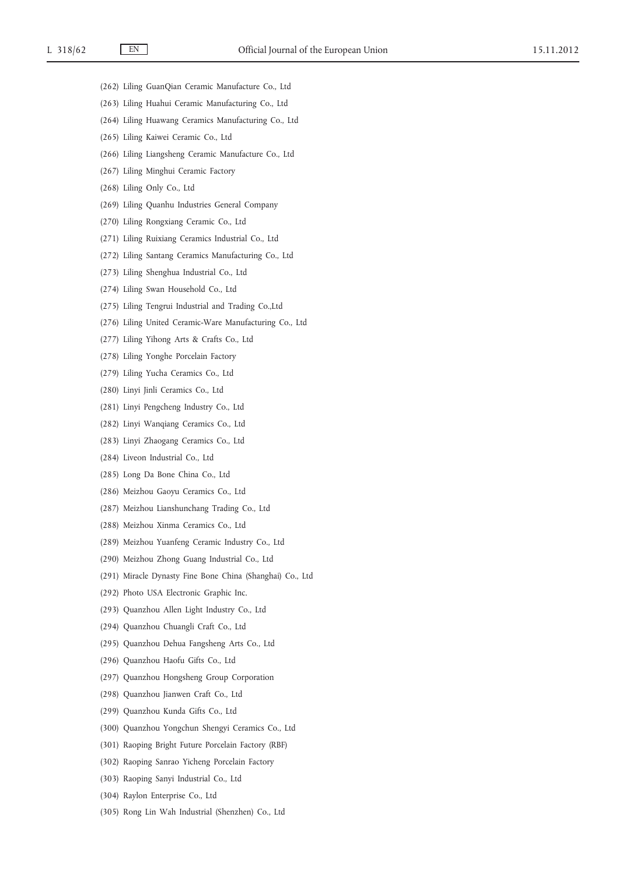- (262) Liling GuanQian Ceramic Manufacture Co., Ltd
- (263) Liling Huahui Ceramic Manufacturing Co., Ltd
- (264) Liling Huawang Ceramics Manufacturing Co., Ltd
- (265) Liling Kaiwei Ceramic Co., Ltd
- (266) Liling Liangsheng Ceramic Manufacture Co., Ltd
- (267) Liling Minghui Ceramic Factory
- (268) Liling Only Co., Ltd
- (269) Liling Quanhu Industries General Company
- (270) Liling Rongxiang Ceramic Co., Ltd
- (271) Liling Ruixiang Ceramics Industrial Co., Ltd
- (272) Liling Santang Ceramics Manufacturing Co., Ltd
- (273) Liling Shenghua Industrial Co., Ltd
- (274) Liling Swan Household Co., Ltd
- (275) Liling Tengrui Industrial and Trading Co.,Ltd
- (276) Liling United Ceramic-Ware Manufacturing Co., Ltd
- (277) Liling Yihong Arts & Crafts Co., Ltd
- (278) Liling Yonghe Porcelain Factory
- (279) Liling Yucha Ceramics Co., Ltd
- (280) Linyi Jinli Ceramics Co., Ltd
- (281) Linyi Pengcheng Industry Co., Ltd
- (282) Linyi Wanqiang Ceramics Co., Ltd
- (283) Linyi Zhaogang Ceramics Co., Ltd
- (284) Liveon Industrial Co., Ltd
- (285) Long Da Bone China Co., Ltd
- (286) Meizhou Gaoyu Ceramics Co., Ltd
- (287) Meizhou Lianshunchang Trading Co., Ltd
- (288) Meizhou Xinma Ceramics Co., Ltd
- (289) Meizhou Yuanfeng Ceramic Industry Co., Ltd
- (290) Meizhou Zhong Guang Industrial Co., Ltd
- (291) Miracle Dynasty Fine Bone China (Shanghai) Co., Ltd
- (292) Photo USA Electronic Graphic Inc.
- (293) Quanzhou Allen Light Industry Co., Ltd
- (294) Quanzhou Chuangli Craft Co., Ltd
- (295) Quanzhou Dehua Fangsheng Arts Co., Ltd
- (296) Quanzhou Haofu Gifts Co., Ltd
- (297) Quanzhou Hongsheng Group Corporation
- (298) Quanzhou Jianwen Craft Co., Ltd
- (299) Quanzhou Kunda Gifts Co., Ltd
- (300) Quanzhou Yongchun Shengyi Ceramics Co., Ltd
- (301) Raoping Bright Future Porcelain Factory (RBF)
- (302) Raoping Sanrao Yicheng Porcelain Factory
- (303) Raoping Sanyi Industrial Co., Ltd
- (304) Raylon Enterprise Co., Ltd
- (305) Rong Lin Wah Industrial (Shenzhen) Co., Ltd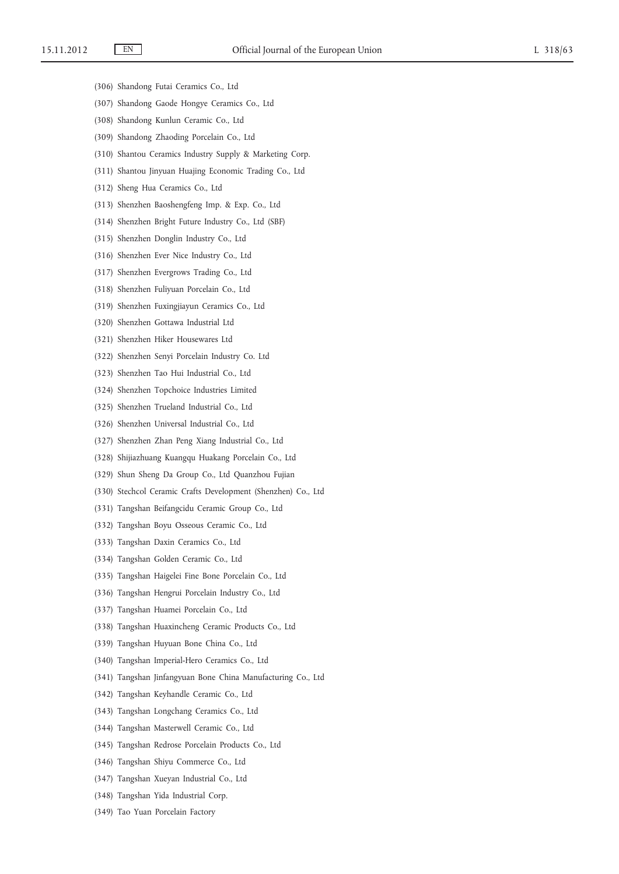- (306) Shandong Futai Ceramics Co., Ltd
- (307) Shandong Gaode Hongye Ceramics Co., Ltd
- (308) Shandong Kunlun Ceramic Co., Ltd
- (309) Shandong Zhaoding Porcelain Co., Ltd
- (310) Shantou Ceramics Industry Supply & Marketing Corp.
- (311) Shantou Jinyuan Huajing Economic Trading Co., Ltd
- (312) Sheng Hua Ceramics Co., Ltd
- (313) Shenzhen Baoshengfeng Imp. & Exp. Co., Ltd
- (314) Shenzhen Bright Future Industry Co., Ltd (SBF)
- (315) Shenzhen Donglin Industry Co., Ltd
- (316) Shenzhen Ever Nice Industry Co., Ltd
- (317) Shenzhen Evergrows Trading Co., Ltd
- (318) Shenzhen Fuliyuan Porcelain Co., Ltd
- (319) Shenzhen Fuxingjiayun Ceramics Co., Ltd
- (320) Shenzhen Gottawa Industrial Ltd
- (321) Shenzhen Hiker Housewares Ltd
- (322) Shenzhen Senyi Porcelain Industry Co. Ltd
- (323) Shenzhen Tao Hui Industrial Co., Ltd
- (324) Shenzhen Topchoice Industries Limited
- (325) Shenzhen Trueland Industrial Co., Ltd
- (326) Shenzhen Universal Industrial Co., Ltd
- (327) Shenzhen Zhan Peng Xiang Industrial Co., Ltd
- (328) Shijiazhuang Kuangqu Huakang Porcelain Co., Ltd
- (329) Shun Sheng Da Group Co., Ltd Quanzhou Fujian
- (330) Stechcol Ceramic Crafts Development (Shenzhen) Co., Ltd
- (331) Tangshan Beifangcidu Ceramic Group Co., Ltd
- (332) Tangshan Boyu Osseous Ceramic Co., Ltd
- (333) Tangshan Daxin Ceramics Co., Ltd
- (334) Tangshan Golden Ceramic Co., Ltd
- (335) Tangshan Haigelei Fine Bone Porcelain Co., Ltd
- (336) Tangshan Hengrui Porcelain Industry Co., Ltd
- (337) Tangshan Huamei Porcelain Co., Ltd
- (338) Tangshan Huaxincheng Ceramic Products Co., Ltd
- (339) Tangshan Huyuan Bone China Co., Ltd
- (340) Tangshan Imperial-Hero Ceramics Co., Ltd
- (341) Tangshan Jinfangyuan Bone China Manufacturing Co., Ltd
- (342) Tangshan Keyhandle Ceramic Co., Ltd
- (343) Tangshan Longchang Ceramics Co., Ltd
- (344) Tangshan Masterwell Ceramic Co., Ltd
- (345) Tangshan Redrose Porcelain Products Co., Ltd
- (346) Tangshan Shiyu Commerce Co., Ltd
- (347) Tangshan Xueyan Industrial Co., Ltd
- (348) Tangshan Yida Industrial Corp.
- (349) Tao Yuan Porcelain Factory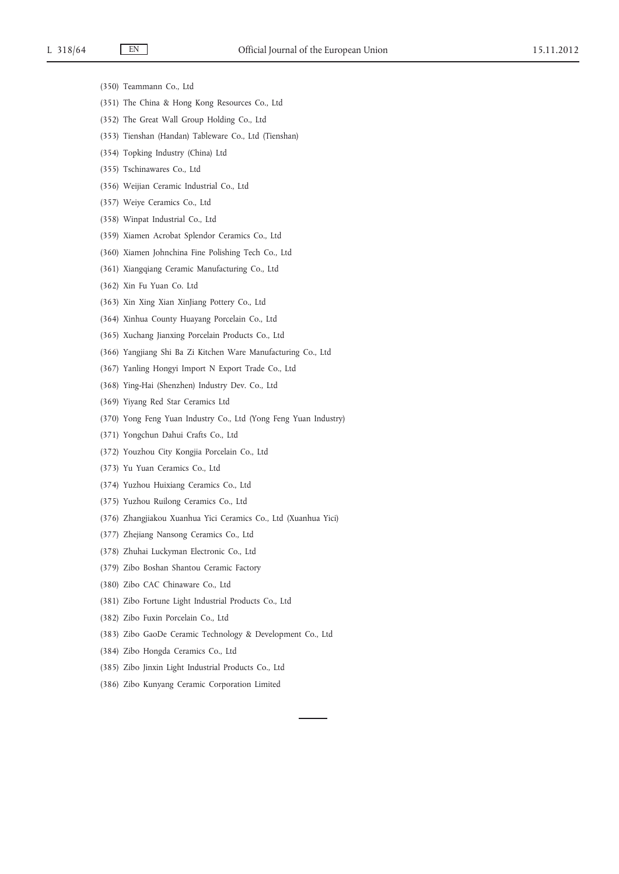- (350) Teammann Co., Ltd
- (351) The China & Hong Kong Resources Co., Ltd
- (352) The Great Wall Group Holding Co., Ltd
- (353) Tienshan (Handan) Tableware Co., Ltd (Tienshan)
- (354) Topking Industry (China) Ltd
- (355) Tschinawares Co., Ltd
- (356) Weijian Ceramic Industrial Co., Ltd
- (357) Weiye Ceramics Co., Ltd
- (358) Winpat Industrial Co., Ltd
- (359) Xiamen Acrobat Splendor Ceramics Co., Ltd
- (360) Xiamen Johnchina Fine Polishing Tech Co., Ltd
- (361) Xiangqiang Ceramic Manufacturing Co., Ltd
- (362) Xin Fu Yuan Co. Ltd
- (363) Xin Xing Xian XinJiang Pottery Co., Ltd
- (364) Xinhua County Huayang Porcelain Co., Ltd
- (365) Xuchang Jianxing Porcelain Products Co., Ltd
- (366) Yangjiang Shi Ba Zi Kitchen Ware Manufacturing Co., Ltd
- (367) Yanling Hongyi Import N Export Trade Co., Ltd
- (368) Ying-Hai (Shenzhen) Industry Dev. Co., Ltd
- (369) Yiyang Red Star Ceramics Ltd
- (370) Yong Feng Yuan Industry Co., Ltd (Yong Feng Yuan Industry)
- (371) Yongchun Dahui Crafts Co., Ltd
- (372) Youzhou City Kongjia Porcelain Co., Ltd
- (373) Yu Yuan Ceramics Co., Ltd
- (374) Yuzhou Huixiang Ceramics Co., Ltd
- (375) Yuzhou Ruilong Ceramics Co., Ltd
- (376) Zhangjiakou Xuanhua Yici Ceramics Co., Ltd (Xuanhua Yici)
- (377) Zhejiang Nansong Ceramics Co., Ltd
- (378) Zhuhai Luckyman Electronic Co., Ltd
- (379) Zibo Boshan Shantou Ceramic Factory
- (380) Zibo CAC Chinaware Co., Ltd
- (381) Zibo Fortune Light Industrial Products Co., Ltd
- (382) Zibo Fuxin Porcelain Co., Ltd
- (383) Zibo GaoDe Ceramic Technology & Development Co., Ltd
- (384) Zibo Hongda Ceramics Co., Ltd
- (385) Zibo Jinxin Light Industrial Products Co., Ltd
- (386) Zibo Kunyang Ceramic Corporation Limited